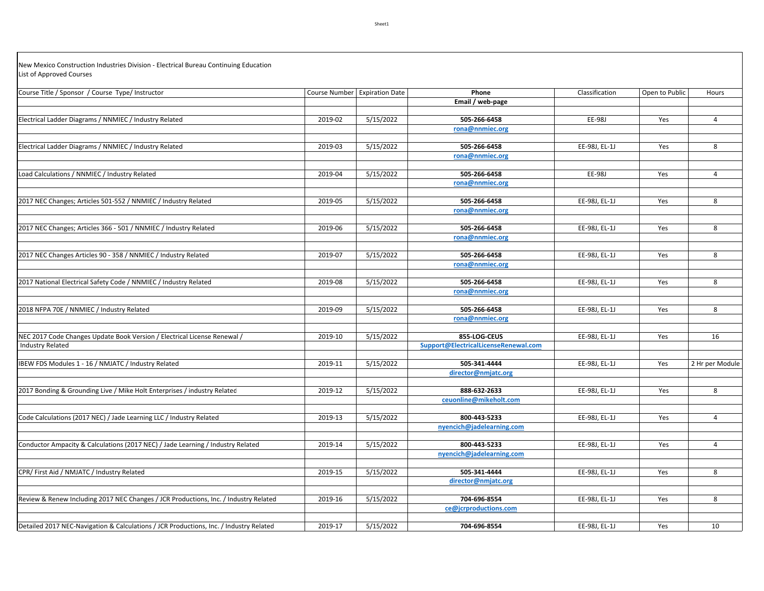New Mexico Construction Industries Division ‐ Electrical Bureau Continuing Education List of Approved Courses

| Course Title / Sponsor / Course Type/ Instructor                                             |         | Course Number Expiration Date | Phone                                                | Classification | Open to Public | Hours           |
|----------------------------------------------------------------------------------------------|---------|-------------------------------|------------------------------------------------------|----------------|----------------|-----------------|
|                                                                                              |         |                               | Email / web-page                                     |                |                |                 |
|                                                                                              |         |                               |                                                      |                |                |                 |
| Electrical Ladder Diagrams / NNMIEC / Industry Related                                       | 2019-02 | 5/15/2022                     | 505-266-6458                                         | EE-98J         | Yes            | $\overline{4}$  |
|                                                                                              |         |                               | rona@nnmiec.org                                      |                |                |                 |
| Electrical Ladder Diagrams / NNMIEC / Industry Related                                       | 2019-03 | 5/15/2022                     | 505-266-6458                                         | EE-98J, EL-1J  | Yes            | 8               |
|                                                                                              |         |                               | rona@nnmiec.org                                      |                |                |                 |
|                                                                                              |         |                               |                                                      |                |                |                 |
| Load Calculations / NNMIEC / Industry Related                                                | 2019-04 | 5/15/2022                     | 505-266-6458                                         | EE-98J         | Yes            | $\overline{4}$  |
|                                                                                              |         |                               | rona@nnmiec.org                                      |                |                |                 |
|                                                                                              |         |                               |                                                      |                |                |                 |
| 2017 NEC Changes; Articles 501-552 / NNMIEC / Industry Related                               | 2019-05 | 5/15/2022                     | 505-266-6458                                         | EE-98J, EL-1J  | Yes            | 8               |
|                                                                                              |         |                               | rona@nnmiec.org                                      |                |                |                 |
|                                                                                              |         |                               |                                                      |                |                |                 |
| 2017 NEC Changes; Articles 366 - 501 / NNMIEC / Industry Related                             | 2019-06 | 5/15/2022                     | 505-266-6458                                         | EE-98J, EL-1J  | Yes            | 8               |
|                                                                                              |         |                               | rona@nnmiec.org                                      |                |                |                 |
| 2017 NEC Changes Articles 90 - 358 / NNMIEC / Industry Related                               | 2019-07 | 5/15/2022                     | 505-266-6458                                         | EE-98J, EL-1J  | Yes            | 8               |
|                                                                                              |         |                               | rona@nnmiec.org                                      |                |                |                 |
|                                                                                              |         |                               |                                                      |                |                |                 |
| 2017 National Electrical Safety Code / NNMIEC / Industry Related                             | 2019-08 | 5/15/2022                     | 505-266-6458                                         | EE-98J, EL-1J  | Yes            | 8               |
|                                                                                              |         |                               | rona@nnmiec.org                                      |                |                |                 |
|                                                                                              |         |                               |                                                      |                |                |                 |
| 2018 NFPA 70E / NNMIEC / Industry Related                                                    | 2019-09 | 5/15/2022                     | 505-266-6458                                         | EE-98J, EL-1J  | Yes            | 8               |
|                                                                                              |         |                               | rona@nnmiec.org                                      |                |                |                 |
|                                                                                              |         |                               |                                                      |                |                |                 |
| NEC 2017 Code Changes Update Book Version / Electrical License Renewal /<br>Industry Related | 2019-10 | 5/15/2022                     | 855-LOG-CEUS<br>Support@ElectricalLicenseRenewal.com | EE-98J, EL-1J  | Yes            | 16              |
|                                                                                              |         |                               |                                                      |                |                |                 |
| IBEW FDS Modules 1 - 16 / NMJATC / Industry Related                                          | 2019-11 | 5/15/2022                     | 505-341-4444                                         | EE-98J, EL-1J  | Yes            | 2 Hr per Module |
|                                                                                              |         |                               | director@nmjatc.org                                  |                |                |                 |
|                                                                                              |         |                               |                                                      |                |                |                 |
| 2017 Bonding & Grounding Live / Mike Holt Enterprises / industry Related                     | 2019-12 | 5/15/2022                     | 888-632-2633                                         | EE-98J, EL-1J  | Yes            | 8               |
|                                                                                              |         |                               | ceuonline@mikeholt.com                               |                |                |                 |
|                                                                                              |         |                               |                                                      |                |                |                 |
| Code Calculations (2017 NEC) / Jade Learning LLC / Industry Related                          | 2019-13 | 5/15/2022                     | 800-443-5233                                         | EE-98J, EL-1J  | Yes            | $\overline{4}$  |
|                                                                                              |         |                               | nyencich@jadelearning.com                            |                |                |                 |
| Conductor Ampacity & Calculations (2017 NEC) / Jade Learning / Industry Related              | 2019-14 | 5/15/2022                     | 800-443-5233                                         | EE-98J, EL-1J  | Yes            | $\overline{4}$  |
|                                                                                              |         |                               | nyencich@jadelearning.com                            |                |                |                 |
|                                                                                              |         |                               |                                                      |                |                |                 |
| CPR/ First Aid / NMJATC / Industry Related                                                   | 2019-15 | 5/15/2022                     | 505-341-4444                                         | EE-98J, EL-1J  | Yes            | 8               |
|                                                                                              |         |                               | director@nmjatc.org                                  |                |                |                 |
|                                                                                              |         |                               |                                                      |                |                |                 |
| Review & Renew Including 2017 NEC Changes / JCR Productions, Inc. / Industry Related         | 2019-16 | 5/15/2022                     | 704-696-8554                                         | EE-98J, EL-1J  | Yes            | 8               |
|                                                                                              |         |                               | ce@jcrproductions.com                                |                |                |                 |
|                                                                                              |         |                               |                                                      |                |                |                 |
| Detailed 2017 NEC-Navigation & Calculations / JCR Productions, Inc. / Industry Related       | 2019-17 | 5/15/2022                     | 704-696-8554                                         | EE-98J, EL-1J  | Yes            | 10              |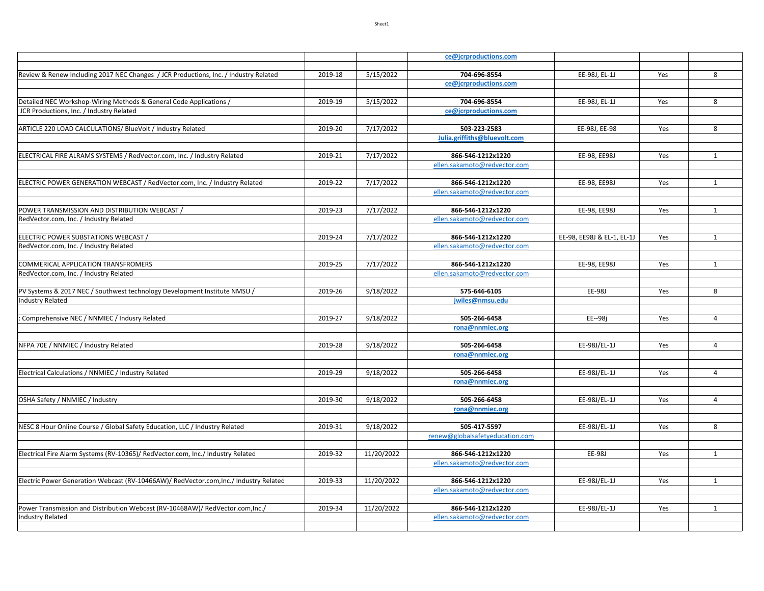|                                                                                       |         |            | ce@jcrproductions.com           |                            |     |                |
|---------------------------------------------------------------------------------------|---------|------------|---------------------------------|----------------------------|-----|----------------|
|                                                                                       |         |            |                                 |                            |     |                |
| Review & Renew Including 2017 NEC Changes / JCR Productions, Inc. / Industry Related  | 2019-18 | 5/15/2022  | 704-696-8554                    | EE-98J, EL-1J              | Yes | 8              |
|                                                                                       |         |            | ce@jcrproductions.com           |                            |     |                |
| Detailed NEC Workshop-Wiring Methods & General Code Applications /                    | 2019-19 | 5/15/2022  | 704-696-8554                    | EE-98J, EL-1J              | Yes | 8              |
| JCR Productions, Inc. / Industry Related                                              |         |            | ce@jcrproductions.com           |                            |     |                |
|                                                                                       |         |            |                                 |                            |     |                |
| ARTICLE 220 LOAD CALCULATIONS/ BlueVolt / Industry Related                            | 2019-20 | 7/17/2022  | 503-223-2583                    | EE-98J, EE-98              | Yes | 8              |
|                                                                                       |         |            | Julia.griffiths@bluevolt.com    |                            |     |                |
|                                                                                       |         |            |                                 |                            |     |                |
| ELECTRICAL FIRE ALRAMS SYSTEMS / RedVector.com, Inc. / Industry Related               | 2019-21 | 7/17/2022  | 866-546-1212x1220               | EE-98, EE98J               | Yes | $\mathbf{1}$   |
|                                                                                       |         |            | ellen.sakamoto@redvector.com    |                            |     |                |
| ELECTRIC POWER GENERATION WEBCAST / RedVector.com, Inc. / Industry Related            | 2019-22 | 7/17/2022  | 866-546-1212x1220               | EE-98, EE98J               | Yes | $\mathbf{1}$   |
|                                                                                       |         |            | ellen.sakamoto@redvector.com    |                            |     |                |
|                                                                                       |         |            |                                 |                            |     |                |
| POWER TRANSMISSION AND DISTRIBUTION WEBCAST /                                         | 2019-23 | 7/17/2022  | 866-546-1212x1220               | EE-98, EE98J               | Yes | $\mathbf{1}$   |
| RedVector.com, Inc. / Industry Related                                                |         |            | ellen.sakamoto@redvector.com    |                            |     |                |
|                                                                                       |         |            |                                 |                            |     |                |
| ELECTRIC POWER SUBSTATIONS WEBCAST /                                                  | 2019-24 | 7/17/2022  | 866-546-1212x1220               | EE-98, EE98J & EL-1, EL-1J | Yes | $\mathbf{1}$   |
| RedVector.com, Inc. / Industry Related                                                |         |            | ellen.sakamoto@redvector.com    |                            |     |                |
| <b>COMMERICAL APPLICATION TRANSFROMERS</b>                                            | 2019-25 | 7/17/2022  | 866-546-1212x1220               | EE-98, EE98J               | Yes | $\mathbf{1}$   |
| RedVector.com, Inc. / Industry Related                                                |         |            | ellen.sakamoto@redvector.com    |                            |     |                |
|                                                                                       |         |            |                                 |                            |     |                |
| PV Systems & 2017 NEC / Southwest technology Development Institute NMSU /             | 2019-26 | 9/18/2022  | 575-646-6105                    | EE-98J                     | Yes | 8              |
| <b>Industry Related</b>                                                               |         |            | jwiles@nmsu.edu                 |                            |     |                |
|                                                                                       |         |            |                                 |                            |     |                |
| Comprehensive NEC / NNMIEC / Indusry Related                                          | 2019-27 | 9/18/2022  | 505-266-6458                    | EE--98j                    | Yes | $\overline{4}$ |
|                                                                                       |         |            | rona@nnmiec.org                 |                            |     |                |
|                                                                                       |         |            |                                 |                            |     |                |
| NFPA 70E / NNMIEC / Industry Related                                                  | 2019-28 | 9/18/2022  | 505-266-6458                    | EE-98J/EL-1J               | Yes | $\overline{4}$ |
|                                                                                       |         |            | rona@nnmiec.org                 |                            |     |                |
| Electrical Calculations / NNMIEC / Industry Related                                   | 2019-29 | 9/18/2022  | 505-266-6458                    | EE-98J/EL-1J               | Yes | 4              |
|                                                                                       |         |            | rona@nnmiec.org                 |                            |     |                |
|                                                                                       |         |            |                                 |                            |     |                |
| OSHA Safety / NNMIEC / Industry                                                       | 2019-30 | 9/18/2022  | 505-266-6458                    | EE-98J/EL-1J               | Yes | $\overline{4}$ |
|                                                                                       |         |            | rona@nnmiec.org                 |                            |     |                |
|                                                                                       |         |            |                                 |                            |     |                |
| NESC 8 Hour Online Course / Global Safety Education, LLC / Industry Related           | 2019-31 | 9/18/2022  | 505-417-5597                    | EE-98J/EL-1J               | Yes | 8              |
|                                                                                       |         |            | renew@globalsafetyeducation.com |                            |     |                |
| Electrical Fire Alarm Systems (RV-10365)/ RedVector.com, Inc./ Industry Related       | 2019-32 | 11/20/2022 | 866-546-1212x1220               | EE-98J                     | Yes | $\mathbf{1}$   |
|                                                                                       |         |            | ellen.sakamoto@redvector.com    |                            |     |                |
|                                                                                       |         |            |                                 |                            |     |                |
| Electric Power Generation Webcast (RV-10466AW)/ RedVector.com, Inc./ Industry Related | 2019-33 | 11/20/2022 | 866-546-1212x1220               | EE-98J/EL-1J               | Yes | $\mathbf{1}$   |
|                                                                                       |         |            | ellen.sakamoto@redvector.com    |                            |     |                |
|                                                                                       |         |            |                                 |                            |     |                |
| Power Transmission and Distribution Webcast (RV-10468AW)/ RedVector.com, Inc./        | 2019-34 | 11/20/2022 | 866-546-1212x1220               | EE-98J/EL-1J               | Yes | $\mathbf{1}$   |
| <b>Industry Related</b>                                                               |         |            | ellen.sakamoto@redvector.com    |                            |     |                |
|                                                                                       |         |            |                                 |                            |     |                |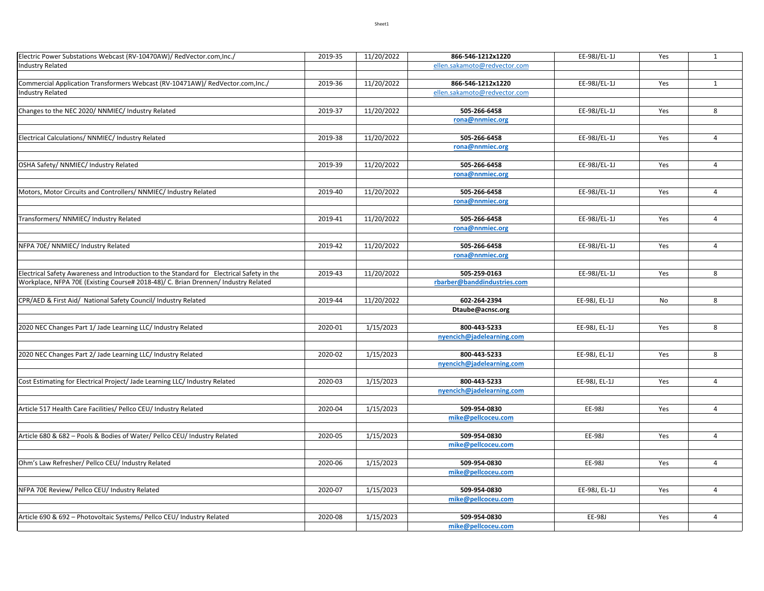| Electric Power Substations Webcast (RV-10470AW)/ RedVector.com, Inc./                     | 2019-35 | 11/20/2022 | 866-546-1212x1220                         | EE-98J/EL-1J  | Yes | $\mathbf{1}$   |
|-------------------------------------------------------------------------------------------|---------|------------|-------------------------------------------|---------------|-----|----------------|
| <b>Industry Related</b>                                                                   |         |            | ellen.sakamoto@redvector.com              |               |     |                |
|                                                                                           |         |            |                                           |               |     |                |
| Commercial Application Transformers Webcast (RV-10471AW)/ RedVector.com, Inc./            | 2019-36 | 11/20/2022 | 866-546-1212x1220                         | EE-98J/EL-1J  | Yes | $\mathbf{1}$   |
| <b>Industry Related</b>                                                                   |         |            | ellen.sakamoto@redvector.com              |               |     |                |
|                                                                                           | 2019-37 |            | 505-266-6458                              |               |     | 8              |
| Changes to the NEC 2020/ NNMIEC/ Industry Related                                         |         | 11/20/2022 | rona@nnmiec.org                           | EE-98J/EL-1J  | Yes |                |
|                                                                                           |         |            |                                           |               |     |                |
| Electrical Calculations/ NNMIEC/ Industry Related                                         | 2019-38 | 11/20/2022 | 505-266-6458                              | EE-98J/EL-1J  | Yes | $\overline{4}$ |
|                                                                                           |         |            | rona@nnmiec.org                           |               |     |                |
|                                                                                           |         |            |                                           |               |     |                |
| OSHA Safety/ NNMIEC/ Industry Related                                                     | 2019-39 | 11/20/2022 | 505-266-6458                              | EE-98J/EL-1J  | Yes | $\overline{4}$ |
|                                                                                           |         |            | rona@nnmiec.org                           |               |     |                |
|                                                                                           |         |            |                                           |               |     |                |
| Motors, Motor Circuits and Controllers/ NNMIEC/ Industry Related                          | 2019-40 | 11/20/2022 | 505-266-6458                              | EE-98J/EL-1J  | Yes | 4              |
|                                                                                           |         |            | rona@nnmiec.org                           |               |     |                |
| Transformers/ NNMIEC/ Industry Related                                                    | 2019-41 | 11/20/2022 | 505-266-6458                              | EE-98J/EL-1J  | Yes | $\overline{4}$ |
|                                                                                           |         |            | rona@nnmiec.org                           |               |     |                |
|                                                                                           |         |            |                                           |               |     |                |
| NFPA 70E/ NNMIEC/ Industry Related                                                        | 2019-42 | 11/20/2022 | 505-266-6458                              | EE-98J/EL-1J  | Yes | $\overline{4}$ |
|                                                                                           |         |            | rona@nnmiec.org                           |               |     |                |
|                                                                                           |         |            |                                           |               |     |                |
| Electrical Safety Awareness and Introduction to the Standard for Electrical Safety in the | 2019-43 | 11/20/2022 | 505-259-0163                              | EE-98J/EL-1J  | Yes | 8              |
| Workplace, NFPA 70E (Existing Course# 2018-48)/ C. Brian Drennen/ Industry Related        |         |            | rbarber@banddindustries.com               |               |     |                |
|                                                                                           |         |            |                                           |               |     |                |
| CPR/AED & First Aid/ National Safety Council/ Industry Related                            | 2019-44 | 11/20/2022 | 602-264-2394                              | EE-98J, EL-1J | No  | 8              |
|                                                                                           |         |            | Dtaube@acnsc.org                          |               |     |                |
|                                                                                           |         | 1/15/2023  |                                           |               |     | 8              |
| 2020 NEC Changes Part 1/ Jade Learning LLC/ Industry Related                              | 2020-01 |            | 800-443-5233<br>nyencich@jadelearning.com | EE-98J, EL-1J | Yes |                |
|                                                                                           |         |            |                                           |               |     |                |
| 2020 NEC Changes Part 2/ Jade Learning LLC/ Industry Related                              | 2020-02 | 1/15/2023  | 800-443-5233                              | EE-98J, EL-1J | Yes | 8              |
|                                                                                           |         |            | nyencich@jadelearning.com                 |               |     |                |
|                                                                                           |         |            |                                           |               |     |                |
| Cost Estimating for Electrical Project/ Jade Learning LLC/ Industry Related               | 2020-03 | 1/15/2023  | 800-443-5233                              | EE-98J, EL-1J | Yes | $\overline{4}$ |
|                                                                                           |         |            | nyencich@jadelearning.com                 |               |     |                |
|                                                                                           |         |            |                                           |               |     |                |
| Article 517 Health Care Facilities/ Pellco CEU/ Industry Related                          | 2020-04 | 1/15/2023  | 509-954-0830                              | EE-98J        | Yes | $\overline{4}$ |
|                                                                                           |         |            | mike@pellcoceu.com                        |               |     |                |
|                                                                                           | 2020-05 |            | 509-954-0830                              | EE-98J        | Yes | $\overline{4}$ |
| Article 680 & 682 - Pools & Bodies of Water/ Pellco CEU/ Industry Related                 |         | 1/15/2023  | mike@pellcoceu.com                        |               |     |                |
|                                                                                           |         |            |                                           |               |     |                |
| Ohm's Law Refresher/ Pellco CEU/ Industry Related                                         | 2020-06 | 1/15/2023  | 509-954-0830                              | EE-98J        | Yes | $\overline{4}$ |
|                                                                                           |         |            | mike@pellcoceu.com                        |               |     |                |
|                                                                                           |         |            |                                           |               |     |                |
| NFPA 70E Review/ Pellco CEU/ Industry Related                                             | 2020-07 | 1/15/2023  | 509-954-0830                              | EE-98J, EL-1J | Yes | $\overline{4}$ |
|                                                                                           |         |            | mike@pellcoceu.com                        |               |     |                |
|                                                                                           |         |            |                                           |               |     |                |
| Article 690 & 692 - Photovoltaic Systems/ Pellco CEU/ Industry Related                    | 2020-08 | 1/15/2023  | 509-954-0830                              | EE-98J        | Yes | $\overline{4}$ |
|                                                                                           |         |            | mike@pellcoceu.com                        |               |     |                |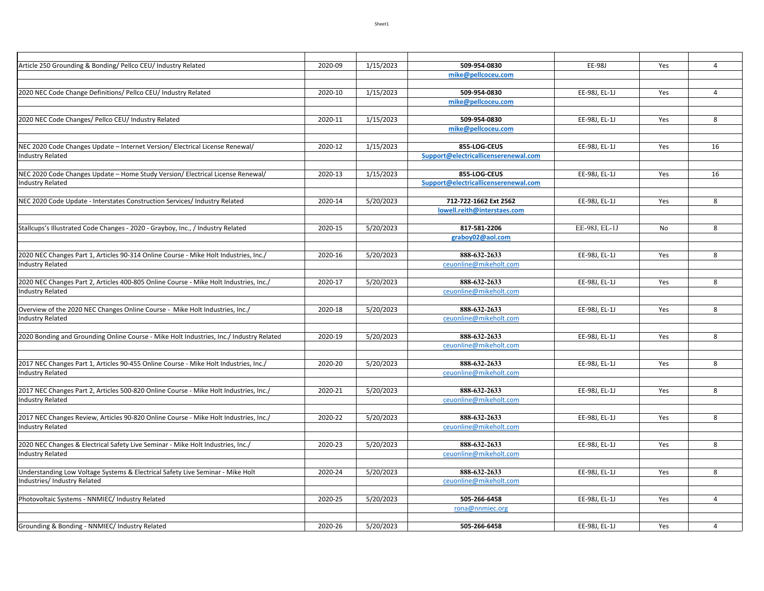| Article 250 Grounding & Bonding/ Pellco CEU/ Industry Related                                                   | 2020-09 | 1/15/2023 | 509-954-0830                         | EE-98J        | Yes | $\overline{4}$ |
|-----------------------------------------------------------------------------------------------------------------|---------|-----------|--------------------------------------|---------------|-----|----------------|
|                                                                                                                 |         |           | mike@pellcoceu.com                   |               |     |                |
|                                                                                                                 |         |           |                                      |               |     |                |
| 2020 NEC Code Change Definitions/ Pellco CEU/ Industry Related                                                  | 2020-10 | 1/15/2023 | 509-954-0830                         | EE-98J, EL-1J | Yes | $\overline{4}$ |
|                                                                                                                 |         |           | mike@pellcoceu.com                   |               |     |                |
| 2020 NEC Code Changes/ Pellco CEU/ Industry Related                                                             | 2020-11 | 1/15/2023 | 509-954-0830                         | EE-98J, EL-1J |     | 8              |
|                                                                                                                 |         |           | mike@pellcoceu.com                   |               | Yes |                |
|                                                                                                                 |         |           |                                      |               |     |                |
| NEC 2020 Code Changes Update - Internet Version/ Electrical License Renewal/                                    | 2020-12 | 1/15/2023 | 855-LOG-CEUS                         | EE-98J, EL-1J | Yes | 16             |
| <b>Industry Related</b>                                                                                         |         |           | Support@electricallicenserenewal.com |               |     |                |
|                                                                                                                 |         |           |                                      |               |     |                |
| NEC 2020 Code Changes Update - Home Study Version/ Electrical License Renewal/                                  | 2020-13 | 1/15/2023 | 855-LOG-CEUS                         | EE-98J, EL-1J | Yes | 16             |
| <b>Industry Related</b>                                                                                         |         |           | Support@electricallicenserenewal.com |               |     |                |
|                                                                                                                 |         |           |                                      |               |     |                |
| NEC 2020 Code Update - Interstates Construction Services/ Industry Related                                      | 2020-14 | 5/20/2023 | 712-722-1662 Ext 2562                | EE-98J, EL-1J | Yes | 8              |
|                                                                                                                 |         |           | lowell.reith@interstaes.com          |               |     |                |
|                                                                                                                 |         |           |                                      |               |     |                |
| Stallcups's Illustrated Code Changes - 2020 - Grayboy, Inc., / Industry Related                                 | 2020-15 | 5/20/2023 | 817-581-2206                         | EE-98J, EL-1J | No  | 8              |
|                                                                                                                 |         |           | graboy02@aol.com                     |               |     |                |
| 2020 NEC Changes Part 1, Articles 90-314 Online Course - Mike Holt Industries, Inc./                            | 2020-16 | 5/20/2023 | 888-632-2633                         | EE-98J, EL-1J | Yes | 8              |
| <b>Industry Related</b>                                                                                         |         |           | ceuonline@mikeholt.com               |               |     |                |
|                                                                                                                 |         |           |                                      |               |     |                |
| 2020 NEC Changes Part 2, Articles 400-805 Online Course - Mike Holt Industries, Inc./                           | 2020-17 | 5/20/2023 | 888-632-2633                         | EE-98J, EL-1J | Yes | 8              |
| <b>Industry Related</b>                                                                                         |         |           | ceuonline@mikeholt.com               |               |     |                |
|                                                                                                                 |         |           |                                      |               |     |                |
| Overview of the 2020 NEC Changes Online Course - Mike Holt Industries, Inc./                                    | 2020-18 | 5/20/2023 | 888-632-2633                         | EE-98J, EL-1J | Yes | 8              |
| <b>Industry Related</b>                                                                                         |         |           | ceuonline@mikeholt.com               |               |     |                |
|                                                                                                                 |         |           |                                      |               |     |                |
| 2020 Bonding and Grounding Online Course - Mike Holt Industries, Inc./ Industry Related                         | 2020-19 | 5/20/2023 | 888-632-2633                         | EE-98J, EL-1J | Yes | 8              |
|                                                                                                                 |         |           | ceuonline@mikeholt.com               |               |     |                |
|                                                                                                                 |         |           | 888-632-2633                         |               |     | 8              |
| 2017 NEC Changes Part 1, Articles 90-455 Online Course - Mike Holt Industries, Inc./<br><b>Industry Related</b> | 2020-20 | 5/20/2023 | ceuonline@mikeholt.com               | EE-98J, EL-1J | Yes |                |
|                                                                                                                 |         |           |                                      |               |     |                |
| 2017 NEC Changes Part 2, Articles 500-820 Online Course - Mike Holt Industries, Inc./                           | 2020-21 | 5/20/2023 | 888-632-2633                         | EE-98J, EL-1J | Yes | 8              |
| <b>Industry Related</b>                                                                                         |         |           | ceuonline@mikeholt.com               |               |     |                |
|                                                                                                                 |         |           |                                      |               |     |                |
| 2017 NEC Changes Review, Articles 90-820 Online Course - Mike Holt Industries, Inc./                            | 2020-22 | 5/20/2023 | 888-632-2633                         | EE-98J, EL-1J | Yes | 8              |
| <b>Industry Related</b>                                                                                         |         |           | ceuonline@mikeholt.com               |               |     |                |
|                                                                                                                 |         |           |                                      |               |     |                |
| 2020 NEC Changes & Electrical Safety Live Seminar - Mike Holt Industries, Inc./                                 | 2020-23 | 5/20/2023 | 888-632-2633                         | EE-98J, EL-1J | Yes | 8              |
| <b>Industry Related</b>                                                                                         |         |           | ceuonline@mikeholt.com               |               |     |                |
|                                                                                                                 |         |           | 888-632-2633                         |               |     |                |
| Understanding Low Voltage Systems & Electrical Safety Live Seminar - Mike Holt<br>Industries/ Industry Related  | 2020-24 | 5/20/2023 | ceuonline@mikeholt.com               | EE-98J, EL-1J | Yes | 8              |
|                                                                                                                 |         |           |                                      |               |     |                |
| Photovoltaic Systems - NNMIEC/ Industry Related                                                                 | 2020-25 | 5/20/2023 | 505-266-6458                         | EE-98J, EL-1J | Yes | $\overline{4}$ |
|                                                                                                                 |         |           | rona@nnmiec.org                      |               |     |                |
|                                                                                                                 |         |           |                                      |               |     |                |
| Grounding & Bonding - NNMIEC/ Industry Related                                                                  | 2020-26 | 5/20/2023 | 505-266-6458                         | EE-98J. EL-1J | Yes | 4              |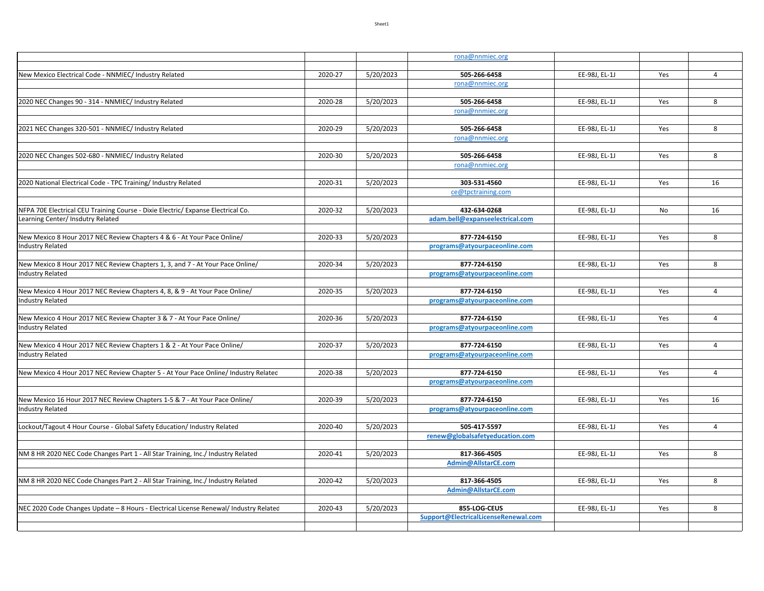|                                                                                       |         |           | rona@nnmiec.org                      |               |     |                |
|---------------------------------------------------------------------------------------|---------|-----------|--------------------------------------|---------------|-----|----------------|
|                                                                                       |         |           |                                      |               |     |                |
| New Mexico Electrical Code - NNMIEC/ Industry Related                                 | 2020-27 | 5/20/2023 | 505-266-6458                         | EE-98J, EL-1J | Yes | $\overline{4}$ |
|                                                                                       |         |           | rona@nnmiec.org                      |               |     |                |
| 2020 NEC Changes 90 - 314 - NNMIEC/ Industry Related                                  | 2020-28 | 5/20/2023 | 505-266-6458                         | EE-98J, EL-1J | Yes | 8              |
|                                                                                       |         |           | rona@nnmiec.org                      |               |     |                |
|                                                                                       |         |           |                                      |               |     |                |
| 2021 NEC Changes 320-501 - NNMIEC/ Industry Related                                   | 2020-29 | 5/20/2023 | 505-266-6458                         | EE-98J, EL-1J | Yes | 8              |
|                                                                                       |         |           | rona@nnmiec.org                      |               |     |                |
|                                                                                       |         |           |                                      |               |     |                |
| 2020 NEC Changes 502-680 - NNMIEC/ Industry Related                                   | 2020-30 | 5/20/2023 | 505-266-6458                         | EE-98J, EL-1J | Yes | 8              |
|                                                                                       |         |           | rona@nnmiec.org                      |               |     |                |
| 2020 National Electrical Code - TPC Training/ Industry Related                        | 2020-31 | 5/20/2023 | 303-531-4560                         | EE-98J, EL-1J | Yes | 16             |
|                                                                                       |         |           | ce@tpctraining.com                   |               |     |                |
|                                                                                       |         |           |                                      |               |     |                |
| NFPA 70E Electrical CEU Training Course - Dixie Electric/ Expanse Electrical Co.      | 2020-32 | 5/20/2023 | 432-634-0268                         | EE-98J, EL-1J | No  | 16             |
| Learning Center/ Insdutry Related                                                     |         |           | adam.bell@expanseelectrical.com      |               |     |                |
|                                                                                       |         |           |                                      |               |     |                |
| New Mexico 8 Hour 2017 NEC Review Chapters 4 & 6 - At Your Pace Online/               | 2020-33 | 5/20/2023 | 877-724-6150                         | EE-98J, EL-1J | Yes | 8              |
| ndustry Related                                                                       |         |           | programs@atyourpaceonline.com        |               |     |                |
| New Mexico 8 Hour 2017 NEC Review Chapters 1, 3, and 7 - At Your Pace Online/         | 2020-34 | 5/20/2023 | 877-724-6150                         | EE-98J, EL-1J | Yes | 8              |
| ndustry Related                                                                       |         |           | programs@atyourpaceonline.com        |               |     |                |
|                                                                                       |         |           |                                      |               |     |                |
| New Mexico 4 Hour 2017 NEC Review Chapters 4, 8, & 9 - At Your Pace Online/           | 2020-35 | 5/20/2023 | 877-724-6150                         | EE-98J, EL-1J | Yes | $\overline{4}$ |
| ndustry Related                                                                       |         |           | programs@atyourpaceonline.com        |               |     |                |
|                                                                                       |         |           |                                      |               |     |                |
| New Mexico 4 Hour 2017 NEC Review Chapter 3 & 7 - At Your Pace Online/                | 2020-36 | 5/20/2023 | 877-724-6150                         | EE-98J, EL-1J | Yes | $\overline{4}$ |
| ndustry Related                                                                       |         |           | programs@atyourpaceonline.com        |               |     |                |
| New Mexico 4 Hour 2017 NEC Review Chapters 1 & 2 - At Your Pace Online/               | 2020-37 | 5/20/2023 | 877-724-6150                         | EE-98J, EL-1J | Yes | $\overline{4}$ |
| ndustry Related                                                                       |         |           | programs@atyourpaceonline.com        |               |     |                |
|                                                                                       |         |           |                                      |               |     |                |
| New Mexico 4 Hour 2017 NEC Review Chapter 5 - At Your Pace Online/ Industry Related   | 2020-38 | 5/20/2023 | 877-724-6150                         | EE-98J, EL-1J | Yes | $\overline{4}$ |
|                                                                                       |         |           | programs@atyourpaceonline.com        |               |     |                |
|                                                                                       |         |           |                                      |               |     |                |
| New Mexico 16 Hour 2017 NEC Review Chapters 1-5 & 7 - At Your Pace Online/            | 2020-39 | 5/20/2023 | 877-724-6150                         | EE-98J, EL-1J | Yes | 16             |
| ndustry Related                                                                       |         |           | programs@atyourpaceonline.com        |               |     |                |
| ockout/Tagout 4 Hour Course - Global Safety Education/ Industry Related               | 2020-40 | 5/20/2023 | 505-417-5597                         | EE-98J, EL-1J | Yes | $\overline{4}$ |
|                                                                                       |         |           | renew@globalsafetyeducation.com      |               |     |                |
|                                                                                       |         |           |                                      |               |     |                |
| NM 8 HR 2020 NEC Code Changes Part 1 - All Star Training, Inc./ Industry Related      | 2020-41 | 5/20/2023 | 817-366-4505                         | EE-98J, EL-1J | Yes | 8              |
|                                                                                       |         |           | Admin@AllstarCE.com                  |               |     |                |
|                                                                                       |         |           |                                      |               |     |                |
| NM 8 HR 2020 NEC Code Changes Part 2 - All Star Training, Inc./ Industry Related      | 2020-42 | 5/20/2023 | 817-366-4505                         | EE-98J, EL-1J | Yes | 8              |
|                                                                                       |         |           | Admin@AllstarCE.com                  |               |     |                |
| NEC 2020 Code Changes Update - 8 Hours - Electrical License Renewal/ Industry Related | 2020-43 | 5/20/2023 | 855-LOG-CEUS                         | EE-98J, EL-1J | Yes | 8              |
|                                                                                       |         |           | Support@ElectricalLicenseRenewal.com |               |     |                |
|                                                                                       |         |           |                                      |               |     |                |
|                                                                                       |         |           |                                      |               |     |                |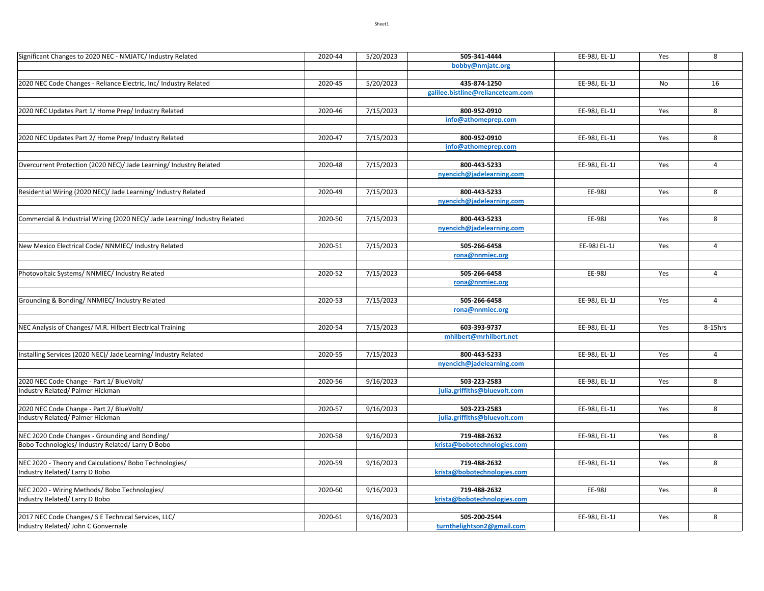| Significant Changes to 2020 NEC - NMJATC/ Industry Related                 | 2020-44 | 5/20/2023 | 505-341-4444                      | EE-98J, EL-1J | Yes | 8              |
|----------------------------------------------------------------------------|---------|-----------|-----------------------------------|---------------|-----|----------------|
|                                                                            |         |           | bobby@nmjatc.org                  |               |     |                |
|                                                                            |         |           |                                   |               |     |                |
| 2020 NEC Code Changes - Reliance Electric, Inc/ Industry Related           | 2020-45 | 5/20/2023 | 435-874-1250                      | EE-98J, EL-1J | No  | 16             |
|                                                                            |         |           | galilee.bistline@relianceteam.com |               |     |                |
| 2020 NEC Updates Part 1/ Home Prep/ Industry Related                       | 2020-46 | 7/15/2023 | 800-952-0910                      | EE-98J, EL-1J | Yes | 8              |
|                                                                            |         |           | info@athomeprep.com               |               |     |                |
|                                                                            |         |           |                                   |               |     |                |
| 2020 NEC Updates Part 2/ Home Prep/ Industry Related                       | 2020-47 | 7/15/2023 | 800-952-0910                      | EE-98J, EL-1J | Yes | 8              |
|                                                                            |         |           | info@athomeprep.com               |               |     |                |
|                                                                            |         |           |                                   |               |     |                |
| Overcurrent Protection (2020 NEC)/ Jade Learning/ Industry Related         | 2020-48 | 7/15/2023 | 800-443-5233                      | EE-98J, EL-1J | Yes | $\overline{4}$ |
|                                                                            |         |           | nyencich@jadelearning.com         |               |     |                |
|                                                                            |         |           |                                   |               |     |                |
| Residential Wiring (2020 NEC)/ Jade Learning/ Industry Related             | 2020-49 | 7/15/2023 | 800-443-5233                      | EE-98J        | Yes | 8              |
|                                                                            |         |           | nyencich@jadelearning.com         |               |     |                |
| Commercial & Industrial Wiring (2020 NEC)/ Jade Learning/ Industry Related | 2020-50 | 7/15/2023 | 800-443-5233                      | EE-98J        | Yes | 8              |
|                                                                            |         |           | nyencich@jadelearning.com         |               |     |                |
|                                                                            |         |           |                                   |               |     |                |
| New Mexico Electrical Code/ NNMIEC/ Industry Related                       | 2020-51 | 7/15/2023 | 505-266-6458                      | EE-98J EL-1J  | Yes | $\overline{4}$ |
|                                                                            |         |           | rona@nnmiec.org                   |               |     |                |
|                                                                            |         |           |                                   |               |     |                |
| Photovoltaic Systems/ NNMIEC/ Industry Related                             | 2020-52 | 7/15/2023 | 505-266-6458                      | EE-98J        | Yes | $\overline{4}$ |
|                                                                            |         |           | rona@nnmiec.org                   |               |     |                |
|                                                                            |         |           |                                   |               |     |                |
| Grounding & Bonding/ NNMIEC/ Industry Related                              | 2020-53 | 7/15/2023 | 505-266-6458                      | EE-98J, EL-1J | Yes | 4              |
|                                                                            |         |           | rona@nnmiec.org                   |               |     |                |
| NEC Analysis of Changes/ M.R. Hilbert Electrical Training                  | 2020-54 | 7/15/2023 | 603-393-9737                      | EE-98J, EL-1J | Yes | 8-15hrs        |
|                                                                            |         |           | mhilbert@mrhilbert.net            |               |     |                |
|                                                                            |         |           |                                   |               |     |                |
| Installing Services (2020 NEC)/ Jade Learning/ Industry Related            | 2020-55 | 7/15/2023 | 800-443-5233                      | EE-98J, EL-1J | Yes | 4              |
|                                                                            |         |           | nyencich@jadelearning.com         |               |     |                |
|                                                                            |         |           |                                   |               |     |                |
| 2020 NEC Code Change - Part 1/ BlueVolt/                                   | 2020-56 | 9/16/2023 | 503-223-2583                      | EE-98J, EL-1J | Yes | 8              |
| Industry Related/ Palmer Hickman                                           |         |           | julia.griffiths@bluevolt.com      |               |     |                |
|                                                                            |         |           |                                   |               |     |                |
| 2020 NEC Code Change - Part 2/ BlueVolt/                                   | 2020-57 | 9/16/2023 | 503-223-2583                      | EE-98J, EL-1J | Yes | 8              |
| Industry Related/ Palmer Hickman                                           |         |           | julia.griffiths@bluevolt.com      |               |     |                |
| NEC 2020 Code Changes - Grounding and Bonding/                             | 2020-58 | 9/16/2023 | 719-488-2632                      | EE-98J, EL-1J | Yes | 8              |
| Bobo Technologies/ Industry Related/ Larry D Bobo                          |         |           | krista@bobotechnologies.com       |               |     |                |
|                                                                            |         |           |                                   |               |     |                |
| NEC 2020 - Theory and Calculations/ Bobo Technologies/                     | 2020-59 | 9/16/2023 | 719-488-2632                      | EE-98J, EL-1J | Yes | 8              |
| Industry Related/ Larry D Bobo                                             |         |           | krista@bobotechnologies.com       |               |     |                |
|                                                                            |         |           |                                   |               |     |                |
| NEC 2020 - Wiring Methods/ Bobo Technologies/                              | 2020-60 | 9/16/2023 | 719-488-2632                      | EE-98J        | Yes | 8              |
| Industry Related/ Larry D Bobo                                             |         |           | krista@bobotechnologies.com       |               |     |                |
|                                                                            |         |           |                                   |               |     |                |
| 2017 NEC Code Changes/ S E Technical Services, LLC/                        | 2020-61 | 9/16/2023 | 505-200-2544                      | EE-98J, EL-1J | Yes | 8              |
| Industry Related/ John C Gonvernale                                        |         |           | turnthelightson2@gmail.com        |               |     |                |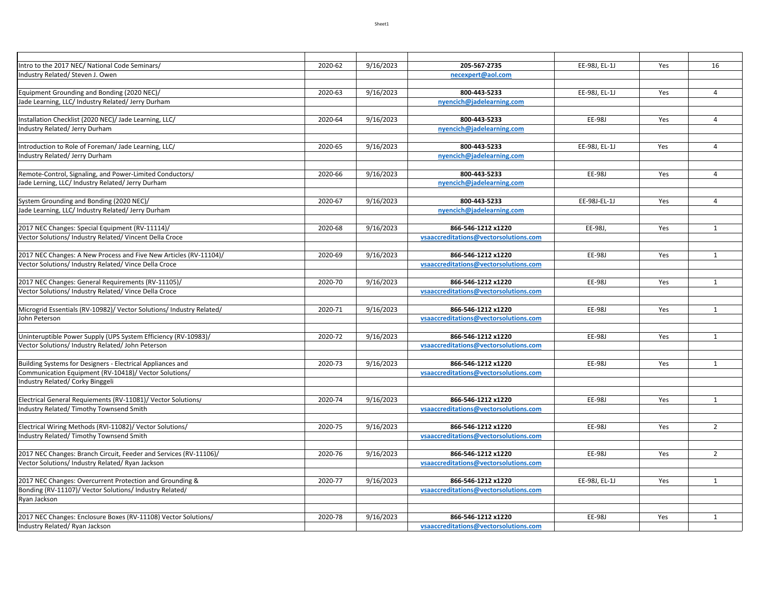| Intro to the 2017 NEC/ National Code Seminars/                                        | 2020-62 | 9/16/2023 | 205-567-2735                                                | EE-98J, EL-1J | Yes | 16             |
|---------------------------------------------------------------------------------------|---------|-----------|-------------------------------------------------------------|---------------|-----|----------------|
| Industry Related/ Steven J. Owen                                                      |         |           | necexpert@aol.com                                           |               |     |                |
|                                                                                       |         |           |                                                             |               |     |                |
| Equipment Grounding and Bonding (2020 NEC)/                                           | 2020-63 | 9/16/2023 | 800-443-5233                                                | EE-98J, EL-1J | Yes | $\overline{4}$ |
| Jade Learning, LLC/ Industry Related/ Jerry Durham                                    |         |           | nyencich@jadelearning.com                                   |               |     |                |
|                                                                                       |         |           |                                                             |               |     |                |
| Installation Checklist (2020 NEC)/ Jade Learning, LLC/                                | 2020-64 | 9/16/2023 | 800-443-5233                                                | EE-98J        | Yes | $\overline{4}$ |
| Industry Related/ Jerry Durham                                                        |         |           | nyencich@jadelearning.com                                   |               |     |                |
| Introduction to Role of Foreman/ Jade Learning, LLC/                                  | 2020-65 | 9/16/2023 | 800-443-5233                                                | EE-98J, EL-1J | Yes | $\overline{4}$ |
| Industry Related/ Jerry Durham                                                        |         |           | nyencich@jadelearning.com                                   |               |     |                |
|                                                                                       |         |           |                                                             |               |     |                |
| Remote-Control, Signaling, and Power-Limited Conductors/                              | 2020-66 | 9/16/2023 | 800-443-5233                                                | EE-98J        | Yes | $\overline{4}$ |
| Jade Lerning, LLC/ Industry Related/ Jerry Durham                                     |         |           | nyencich@jadelearning.com                                   |               |     |                |
|                                                                                       |         |           |                                                             |               |     |                |
| System Grounding and Bonding (2020 NEC)/                                              | 2020-67 | 9/16/2023 | 800-443-5233                                                | EE-98J-EL-1J  | Yes | $\overline{4}$ |
| Jade Learning, LLC/ Industry Related/ Jerry Durham                                    |         |           | nyencich@jadelearning.com                                   |               |     |                |
|                                                                                       |         |           |                                                             |               |     |                |
| 2017 NEC Changes: Special Equipment (RV-11114)/                                       | 2020-68 | 9/16/2023 | 866-546-1212 x1220                                          | EE-98J,       | Yes | $\mathbf{1}$   |
| Vector Solutions/ Industry Related/ Vincent Della Croce                               |         |           | vsaaccreditations@vectorsolutions.com                       |               |     |                |
|                                                                                       |         |           |                                                             |               |     |                |
| 2017 NEC Changes: A New Process and Five New Articles (RV-11104)/                     | 2020-69 | 9/16/2023 | 866-546-1212 x1220                                          | EE-98J        | Yes | $\mathbf{1}$   |
| Vector Solutions/ Industry Related/ Vince Della Croce                                 |         |           | vsaaccreditations@vectorsolutions.com                       |               |     |                |
|                                                                                       |         |           |                                                             |               |     |                |
| 2017 NEC Changes: General Requirements (RV-11105)/                                    | 2020-70 | 9/16/2023 | 866-546-1212 x1220                                          | EE-98J        | Yes | $\mathbf{1}$   |
| Vector Solutions/ Industry Related/ Vince Della Croce                                 |         |           | vsaaccreditations@vectorsolutions.com                       |               |     |                |
|                                                                                       |         |           |                                                             |               |     |                |
| Microgrid Essentials (RV-10982)/ Vector Solutions/ Industry Related/<br>John Peterson | 2020-71 | 9/16/2023 | 866-546-1212 x1220<br>vsaaccreditations@vectorsolutions.com | EE-98J        | Yes | $\mathbf{1}$   |
|                                                                                       |         |           |                                                             |               |     |                |
| Uninteruptible Power Supply (UPS System Efficiency (RV-10983)/                        | 2020-72 | 9/16/2023 | 866-546-1212 x1220                                          | EE-98J        | Yes | $\mathbf{1}$   |
| Vector Solutions/ Industry Related/ John Peterson                                     |         |           | vsaaccreditations@vectorsolutions.com                       |               |     |                |
|                                                                                       |         |           |                                                             |               |     |                |
| Building Systems for Designers - Electrical Appliances and                            | 2020-73 | 9/16/2023 | 866-546-1212 x1220                                          | EE-98J        | Yes | $\mathbf{1}$   |
| Communication Equipment (RV-10418)/ Vector Solutions/                                 |         |           | vsaaccreditations@vectorsolutions.com                       |               |     |                |
| Industry Related/ Corky Binggeli                                                      |         |           |                                                             |               |     |                |
|                                                                                       |         |           |                                                             |               |     |                |
| Electrical General Requiements (RV-11081)/ Vector Solutions/                          | 2020-74 | 9/16/2023 | 866-546-1212 x1220                                          | EE-98J        | Yes | $\mathbf{1}$   |
| Industry Related/Timothy Townsend Smith                                               |         |           | vsaaccreditations@vectorsolutions.com                       |               |     |                |
|                                                                                       |         |           |                                                             |               |     |                |
| Electrical Wiring Methods (RVI-11082)/ Vector Solutions/                              | 2020-75 | 9/16/2023 | 866-546-1212 x1220                                          | EE-98J        | Yes | $\overline{2}$ |
| Industry Related/Timothy Townsend Smith                                               |         |           | vsaaccreditations@vectorsolutions.com                       |               |     |                |
|                                                                                       |         |           |                                                             |               |     |                |
| 2017 NEC Changes: Branch Circuit, Feeder and Services (RV-11106)/                     | 2020-76 | 9/16/2023 | 866-546-1212 x1220                                          | EE-98J        | Yes | $\overline{2}$ |
| Vector Solutions/ Industry Related/ Ryan Jackson                                      |         |           | vsaaccreditations@vectorsolutions.com                       |               |     |                |
| 2017 NEC Changes: Overcurrent Protection and Grounding &                              | 2020-77 | 9/16/2023 | 866-546-1212 x1220                                          | EE-98J, EL-1J | Yes | $\mathbf{1}$   |
| Bonding (RV-11107)/ Vector Solutions/ Industry Related/                               |         |           | vsaaccreditations@vectorsolutions.com                       |               |     |                |
| Ryan Jackson                                                                          |         |           |                                                             |               |     |                |
|                                                                                       |         |           |                                                             |               |     |                |
| 2017 NEC Changes: Enclosure Boxes (RV-11108) Vector Solutions/                        | 2020-78 | 9/16/2023 | 866-546-1212 x1220                                          | EE-98J        | Yes | $\mathbf{1}$   |
| Industry Related/ Ryan Jackson                                                        |         |           | vsaaccreditations@vectorsolutions.com                       |               |     |                |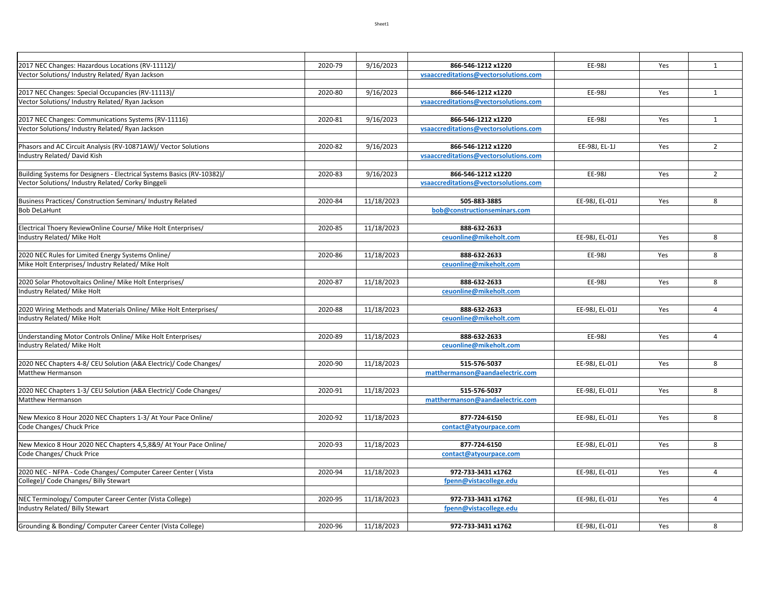| 2017 NEC Changes: Hazardous Locations (RV-11112)/                                                      | 2020-79 | 9/16/2023  | 866-546-1212 x1220                    | EE-98J         | Yes | $\mathbf{1}$   |
|--------------------------------------------------------------------------------------------------------|---------|------------|---------------------------------------|----------------|-----|----------------|
| Vector Solutions/ Industry Related/ Ryan Jackson                                                       |         |            | vsaaccreditations@vectorsolutions.com |                |     |                |
|                                                                                                        |         |            |                                       |                |     |                |
| 2017 NEC Changes: Special Occupancies (RV-11113)/                                                      | 2020-80 | 9/16/2023  | 866-546-1212 x1220                    | EE-98J         | Yes | $\mathbf{1}$   |
| Vector Solutions/ Industry Related/ Ryan Jackson                                                       |         |            | vsaaccreditations@vectorsolutions.com |                |     |                |
| 2017 NEC Changes: Communications Systems (RV-11116)                                                    | 2020-81 | 9/16/2023  | 866-546-1212 x1220                    | EE-98J         | Yes | $\mathbf{1}$   |
| Vector Solutions/ Industry Related/ Ryan Jackson                                                       |         |            | vsaaccreditations@vectorsolutions.com |                |     |                |
|                                                                                                        |         |            |                                       |                |     |                |
| Phasors and AC Circuit Analysis (RV-10871AW)/ Vector Solutions                                         | 2020-82 | 9/16/2023  | 866-546-1212 x1220                    | EE-98J, EL-1J  | Yes | $\overline{2}$ |
| Industry Related/David Kish                                                                            |         |            | vsaaccreditations@vectorsolutions.com |                |     |                |
|                                                                                                        |         |            |                                       |                |     |                |
| Building Systems for Designers - Electrical Systems Basics (RV-10382)/                                 | 2020-83 | 9/16/2023  | 866-546-1212 x1220                    | EE-98J         | Yes | $\overline{2}$ |
| Vector Solutions/ Industry Related/ Corky Binggeli                                                     |         |            | vsaaccreditations@vectorsolutions.com |                |     |                |
|                                                                                                        | 2020-84 |            | 505-883-3885                          | EE-98J, EL-01J |     | 8              |
| Business Practices/ Construction Seminars/ Industry Related<br><b>Bob DeLaHunt</b>                     |         | 11/18/2023 | bob@constructionseminars.com          |                | Yes |                |
|                                                                                                        |         |            |                                       |                |     |                |
| Electrical Thoery ReviewOnline Course/ Mike Holt Enterprises/                                          | 2020-85 | 11/18/2023 | 888-632-2633                          |                |     |                |
| Industry Related/ Mike Holt                                                                            |         |            | ceuonline@mikeholt.com                | EE-98J, EL-01J | Yes | 8              |
|                                                                                                        |         |            |                                       |                |     |                |
| 2020 NEC Rules for Limited Energy Systems Online/                                                      | 2020-86 | 11/18/2023 | 888-632-2633                          | EE-98J         | Yes | 8              |
| Mike Holt Enterprises/ Industry Related/ Mike Holt                                                     |         |            | ceuonline@mikeholt.com                |                |     |                |
|                                                                                                        |         |            |                                       |                |     |                |
| 2020 Solar Photovoltaics Online/ Mike Holt Enterprises/                                                | 2020-87 | 11/18/2023 | 888-632-2633                          | EE-98J         | Yes | 8              |
| Industry Related/ Mike Holt                                                                            |         |            | ceuonline@mikeholt.com                |                |     |                |
| 2020 Wiring Methods and Materials Online/ Mike Holt Enterprises/                                       | 2020-88 | 11/18/2023 | 888-632-2633                          | EE-98J, EL-01J | Yes | $\overline{4}$ |
| Industry Related/ Mike Holt                                                                            |         |            | ceuonline@mikeholt.com                |                |     |                |
|                                                                                                        |         |            |                                       |                |     |                |
| Understanding Motor Controls Online/ Mike Holt Enterprises/                                            | 2020-89 | 11/18/2023 | 888-632-2633                          | EE-98J         | Yes | $\overline{4}$ |
| Industry Related/ Mike Holt                                                                            |         |            | ceuonline@mikeholt.com                |                |     |                |
|                                                                                                        |         |            |                                       |                |     |                |
| 2020 NEC Chapters 4-8/ CEU Solution (A&A Electric)/ Code Changes/                                      | 2020-90 | 11/18/2023 | 515-576-5037                          | EE-98J, EL-01J | Yes | 8              |
| Matthew Hermanson                                                                                      |         |            | matthermanson@aandaelectric.com       |                |     |                |
| 2020 NEC Chapters 1-3/ CEU Solution (A&A Electric)/ Code Changes/                                      | 2020-91 | 11/18/2023 | 515-576-5037                          | EE-98J, EL-01J | Yes | 8              |
| Matthew Hermanson                                                                                      |         |            | matthermanson@aandaelectric.com       |                |     |                |
|                                                                                                        |         |            |                                       |                |     |                |
| New Mexico 8 Hour 2020 NEC Chapters 1-3/ At Your Pace Online/                                          | 2020-92 | 11/18/2023 | 877-724-6150                          | EE-98J, EL-01J | Yes | 8              |
| Code Changes/ Chuck Price                                                                              |         |            | contact@atyourpace.com                |                |     |                |
|                                                                                                        |         |            |                                       |                |     |                |
| New Mexico 8 Hour 2020 NEC Chapters 4,5,8&9/ At Your Pace Online/                                      | 2020-93 | 11/18/2023 | 877-724-6150                          | EE-98J, EL-01J | Yes | 8              |
| Code Changes/ Chuck Price                                                                              |         |            | contact@atyourpace.com                |                |     |                |
|                                                                                                        |         |            |                                       |                |     |                |
| 2020 NEC - NFPA - Code Changes/ Computer Career Center (Vista<br>College)/ Code Changes/ Billy Stewart | 2020-94 | 11/18/2023 | 972-733-3431 x1762                    | EE-98J, EL-01J | Yes | $\overline{4}$ |
|                                                                                                        |         |            | fpenn@vistacollege.edu                |                |     |                |
| NEC Terminology/ Computer Career Center (Vista College)                                                | 2020-95 | 11/18/2023 | 972-733-3431 x1762                    | EE-98J, EL-01J | Yes | $\overline{4}$ |
| Industry Related/ Billy Stewart                                                                        |         |            | fpenn@vistacollege.edu                |                |     |                |
|                                                                                                        |         |            |                                       |                |     |                |
| Grounding & Bonding/Computer Career Center (Vista College)                                             | 2020-96 | 11/18/2023 | 972-733-3431 x1762                    | EE-98J, EL-01J | Yes | 8              |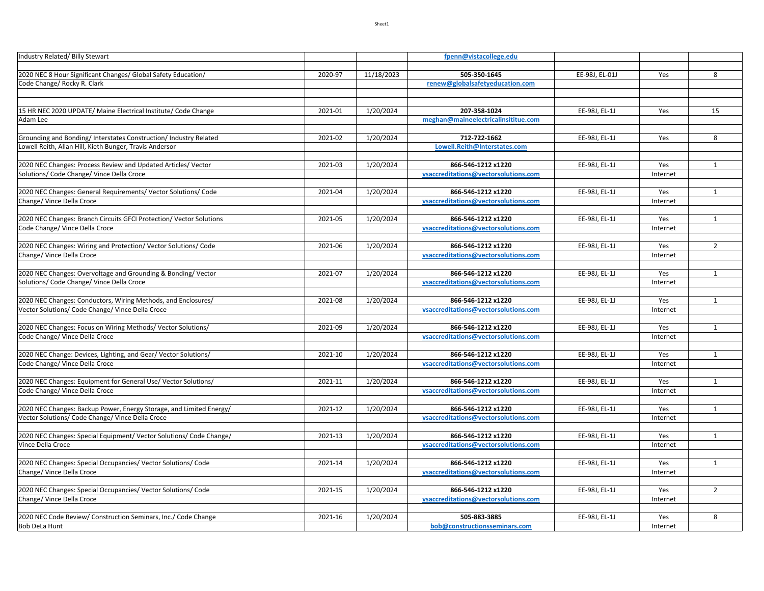| Industry Related/ Billy Stewart                                     |         |            | fpenn@vistacollege.edu               |                |          |                |
|---------------------------------------------------------------------|---------|------------|--------------------------------------|----------------|----------|----------------|
|                                                                     |         |            |                                      |                |          |                |
| 2020 NEC 8 Hour Significant Changes/ Global Safety Education/       | 2020-97 | 11/18/2023 | 505-350-1645                         | EE-98J, EL-01J | Yes      | 8              |
| Code Change/ Rocky R. Clark                                         |         |            | renew@globalsafetyeducation.com      |                |          |                |
|                                                                     |         |            |                                      |                |          |                |
|                                                                     |         |            |                                      |                |          |                |
| 15 HR NEC 2020 UPDATE/ Maine Electrical Institute/ Code Change      | 2021-01 | 1/20/2024  | 207-358-1024                         | EE-98J, EL-1J  | Yes      | 15             |
| Adam Lee                                                            |         |            | meghan@maineelectricalinsititue.com  |                |          |                |
|                                                                     |         |            |                                      |                |          |                |
| Grounding and Bonding/Interstates Construction/Industry Related     | 2021-02 | 1/20/2024  | 712-722-1662                         | EE-98J, EL-1J  | Yes      | 8              |
| Lowell Reith, Allan Hill, Kieth Bunger, Travis Anderson             |         |            | Lowell.Reith@Interstates.com         |                |          |                |
|                                                                     |         |            |                                      |                |          |                |
| 2020 NEC Changes: Process Review and Updated Articles/ Vector       | 2021-03 | 1/20/2024  | 866-546-1212 x1220                   | EE-98J, EL-1J  | Yes      | $\mathbf{1}$   |
| Solutions/ Code Change/ Vince Della Croce                           |         |            | vsaccreditations@vectorsolutions.com |                | Internet |                |
|                                                                     |         |            |                                      |                |          |                |
| 2020 NEC Changes: General Requirements/ Vector Solutions/ Code      | 2021-04 | 1/20/2024  | 866-546-1212 x1220                   | EE-98J, EL-1J  | Yes      | $\mathbf{1}$   |
| Change/ Vince Della Croce                                           |         |            | vsaccreditations@vectorsolutions.com |                | Internet |                |
|                                                                     |         |            |                                      |                |          |                |
| 2020 NEC Changes: Branch Circuits GFCI Protection/ Vector Solutions | 2021-05 | 1/20/2024  | 866-546-1212 x1220                   | EE-98J, EL-1J  | Yes      | $\mathbf{1}$   |
| Code Change/ Vince Della Croce                                      |         |            | vsaccreditations@vectorsolutions.com |                | Internet |                |
|                                                                     |         |            |                                      |                |          |                |
| 2020 NEC Changes: Wiring and Protection/ Vector Solutions/ Code     | 2021-06 | 1/20/2024  | 866-546-1212 x1220                   | EE-98J, EL-1J  | Yes      | $\overline{2}$ |
| Change/ Vince Della Croce                                           |         |            | vsaccreditations@vectorsolutions.com |                | Internet |                |
|                                                                     |         |            |                                      |                |          |                |
| 2020 NEC Changes: Overvoltage and Grounding & Bonding/ Vector       | 2021-07 | 1/20/2024  | 866-546-1212 x1220                   | EE-98J, EL-1J  | Yes      | $\mathbf{1}$   |
| Solutions/ Code Change/ Vince Della Croce                           |         |            | vsaccreditations@vectorsolutions.com |                | Internet |                |
|                                                                     |         |            |                                      |                |          |                |
| 2020 NEC Changes: Conductors, Wiring Methods, and Enclosures/       | 2021-08 | 1/20/2024  | 866-546-1212 x1220                   | EE-98J, EL-1J  | Yes      | $\mathbf{1}$   |
| Vector Solutions/ Code Change/ Vince Della Croce                    |         |            | vsaccreditations@vectorsolutions.com |                | Internet |                |
|                                                                     |         |            |                                      |                |          |                |
| 2020 NEC Changes: Focus on Wiring Methods/ Vector Solutions/        | 2021-09 | 1/20/2024  | 866-546-1212 x1220                   | EE-98J, EL-1J  | Yes      | $\mathbf{1}$   |
| Code Change/ Vince Della Croce                                      |         |            | vsaccreditations@vectorsolutions.com |                | Internet |                |
|                                                                     |         |            |                                      |                |          |                |
| 2020 NEC Change: Devices, Lighting, and Gear/ Vector Solutions/     | 2021-10 | 1/20/2024  | 866-546-1212 x1220                   | EE-98J, EL-1J  | Yes      | $\mathbf{1}$   |
| Code Change/ Vince Della Croce                                      |         |            | vsaccreditations@vectorsolutions.com |                | Internet |                |
|                                                                     |         |            |                                      |                |          |                |
| 2020 NEC Changes: Equipment for General Use/ Vector Solutions/      | 2021-11 | 1/20/2024  | 866-546-1212 x1220                   | EE-98J, EL-1J  | Yes      | $\mathbf{1}$   |
| Code Change/ Vince Della Croce                                      |         |            | vsaccreditations@vectorsolutions.com |                | Internet |                |
| 2020 NEC Changes: Backup Power, Energy Storage, and Limited Energy/ | 2021-12 | 1/20/2024  | 866-546-1212 x1220                   | EE-98J, EL-1J  | Yes      | $\mathbf{1}$   |
| Vector Solutions/ Code Change/ Vince Della Croce                    |         |            | vsaccreditations@vectorsolutions.com |                | Internet |                |
|                                                                     |         |            |                                      |                |          |                |
| 2020 NEC Changes: Special Equipment/ Vector Solutions/ Code Change/ | 2021-13 | 1/20/2024  | 866-546-1212 x1220                   | EE-98J, EL-1J  | Yes      | $\mathbf{1}$   |
| Vince Della Croce                                                   |         |            | vsaccreditations@vectorsolutions.com |                | Internet |                |
|                                                                     |         |            |                                      |                |          |                |
| 2020 NEC Changes: Special Occupancies/ Vector Solutions/ Code       | 2021-14 | 1/20/2024  | 866-546-1212 x1220                   | EE-98J, EL-1J  | Yes      | $\mathbf{1}$   |
| Change/ Vince Della Croce                                           |         |            | vsaccreditations@vectorsolutions.com |                | Internet |                |
|                                                                     |         |            |                                      |                |          |                |
| 2020 NEC Changes: Special Occupancies/ Vector Solutions/ Code       | 2021-15 | 1/20/2024  | 866-546-1212 x1220                   | EE-98J, EL-1J  | Yes      | $\overline{2}$ |
| Change/ Vince Della Croce                                           |         |            | vsaccreditations@vectorsolutions.com |                | Internet |                |
|                                                                     |         |            |                                      |                |          |                |
| 2020 NEC Code Review/ Construction Seminars, Inc./ Code Change      | 2021-16 | 1/20/2024  | 505-883-3885                         | EE-98J, EL-1J  | Yes      | 8              |
| <b>Bob DeLa Hunt</b>                                                |         |            | bob@constructionsseminars.com        |                | Internet |                |
|                                                                     |         |            |                                      |                |          |                |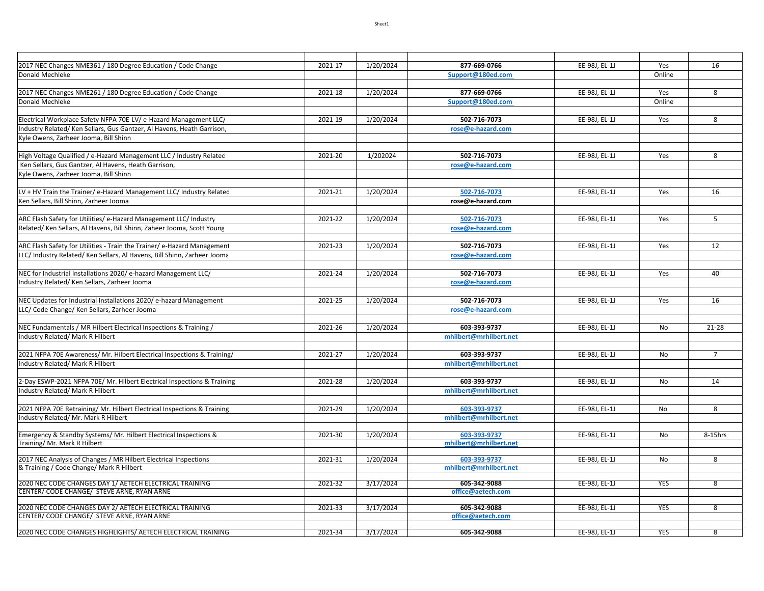| 2017 NEC Changes NME361 / 180 Degree Education / Code Change                                                   | 2021-17 | 1/20/2024 | 877-669-0766           | EE-98J, EL-1J | Yes            | 16             |
|----------------------------------------------------------------------------------------------------------------|---------|-----------|------------------------|---------------|----------------|----------------|
| Donald Mechleke                                                                                                |         |           | Support@180ed.com      |               | Online         |                |
|                                                                                                                |         |           |                        |               |                |                |
| 2017 NEC Changes NME261 / 180 Degree Education / Code Change                                                   | 2021-18 | 1/20/2024 | 877-669-0766           | EE-98J, EL-1J | Yes            | 8              |
| Donald Mechleke                                                                                                |         |           | Support@180ed.com      |               | Online         |                |
|                                                                                                                |         |           |                        |               |                |                |
| Electrical Workplace Safety NFPA 70E-LV/ e-Hazard Management LLC/                                              | 2021-19 | 1/20/2024 | 502-716-7073           | EE-98J, EL-1J | Yes            | 8              |
| Industry Related/Ken Sellars, Gus Gantzer, Al Havens, Heath Garrison,<br>Kyle Owens, Zarheer Jooma, Bill Shinn |         |           | rose@e-hazard.com      |               |                |                |
|                                                                                                                |         |           |                        |               |                |                |
| High Voltage Qualified / e-Hazard Management LLC / Industry Related                                            | 2021-20 | 1/202024  | 502-716-7073           | EE-98J, EL-1J | Yes            | 8              |
| Ken Sellars, Gus Gantzer, Al Havens, Heath Garrison,                                                           |         |           | rose@e-hazard.com      |               |                |                |
| Kyle Owens, Zarheer Jooma, Bill Shinn                                                                          |         |           |                        |               |                |                |
|                                                                                                                |         |           |                        |               |                |                |
| LV + HV Train the Trainer/ e-Hazard Management LLC/ Industry Related                                           | 2021-21 | 1/20/2024 | 502-716-7073           | EE-98J, EL-1J | Yes            | 16             |
| Ken Sellars, Bill Shinn, Zarheer Jooma                                                                         |         |           | rose@e-hazard.com      |               |                |                |
|                                                                                                                |         |           |                        |               |                |                |
| ARC Flash Safety for Utilities/ e-Hazard Management LLC/ Industry                                              | 2021-22 | 1/20/2024 | 502-716-7073           | EE-98J, EL-1J | Yes            | 5              |
| Related/Ken Sellars, Al Havens, Bill Shinn, Zaheer Jooma, Scott Young                                          |         |           | rose@e-hazard.com      |               |                |                |
|                                                                                                                |         |           |                        |               |                |                |
| ARC Flash Safety for Utilities - Train the Trainer/ e-Hazard Management                                        | 2021-23 | 1/20/2024 | 502-716-7073           | EE-98J, EL-1J | Yes            | 12             |
| LLC/ Industry Related/ Ken Sellars, Al Havens, Bill Shinn, Zarheer Jooma                                       |         |           | rose@e-hazard.com      |               |                |                |
|                                                                                                                |         |           |                        |               |                |                |
| NEC for Industrial Installations 2020/ e-hazard Management LLC/                                                | 2021-24 | 1/20/2024 | 502-716-7073           | EE-98J, EL-1J | Yes            | 40             |
| Industry Related/ Ken Sellars, Zarheer Jooma                                                                   |         |           | rose@e-hazard.com      |               |                |                |
|                                                                                                                |         |           |                        |               |                |                |
| NEC Updates for Industrial Installations 2020/ e-hazard Management                                             | 2021-25 | 1/20/2024 | 502-716-7073           | EE-98J, EL-1J | Yes            | 16             |
| LLC/ Code Change/ Ken Sellars, Zarheer Jooma                                                                   |         |           | rose@e-hazard.com      |               |                |                |
| NEC Fundamentals / MR Hilbert Electrical Inspections & Training /                                              | 2021-26 | 1/20/2024 | 603-393-9737           | EE-98J, EL-1J | No             | $21 - 28$      |
| ndustry Related/ Mark R Hilbert                                                                                |         |           | mhilbert@mrhilbert.net |               |                |                |
|                                                                                                                |         |           |                        |               |                |                |
| 2021 NFPA 70E Awareness/ Mr. Hilbert Electrical Inspections & Training/                                        | 2021-27 | 1/20/2024 | 603-393-9737           | EE-98J, EL-1J | No             | $7^{\circ}$    |
| Industry Related/ Mark R Hilbert                                                                               |         |           | mhilbert@mrhilbert.net |               |                |                |
|                                                                                                                |         |           |                        |               |                |                |
| 2-Day ESWP-2021 NFPA 70E/ Mr. Hilbert Electrical Inspections & Training                                        | 2021-28 | 1/20/2024 | 603-393-9737           | EE-98J, EL-1J | N <sub>o</sub> | 14             |
| Industry Related/ Mark R Hilbert                                                                               |         |           | mhilbert@mrhilbert.net |               |                |                |
|                                                                                                                |         |           |                        |               |                |                |
| 2021 NFPA 70E Retraining/ Mr. Hilbert Electrical Inspections & Training                                        | 2021-29 | 1/20/2024 | 603-393-9737           | EE-98J, EL-1J | No             | 8              |
| ndustry Related/ Mr. Mark R Hilbert                                                                            |         |           | mhilbert@mrhilbert.net |               |                |                |
|                                                                                                                |         |           |                        |               |                |                |
| Emergency & Standby Systems/ Mr. Hilbert Electrical Inspections &                                              | 2021-30 | 1/20/2024 | 603-393-9737           | EE-98J, EL-1J | No             | 8-15hrs        |
| Training/ Mr. Mark R Hilbert                                                                                   |         |           | mhilbert@mrhilbert.net |               |                |                |
| 2017 NEC Analysis of Changes / MR Hilbert Electrical Inspections                                               | 2021-31 | 1/20/2024 | 603-393-9737           | EE-98J, EL-1J | No             | $\overline{8}$ |
| & Training / Code Change/ Mark R Hilbert                                                                       |         |           | mhilbert@mrhilbert.net |               |                |                |
|                                                                                                                |         |           |                        |               |                |                |
| 2020 NEC CODE CHANGES DAY 1/ AETECH ELECTRICAL TRAINING                                                        | 2021-32 | 3/17/2024 | 605-342-9088           | EE-98J, EL-1J | <b>YES</b>     | 8              |
| CENTER/ CODE CHANGE/ STEVE ARNE, RYAN ARNE                                                                     |         |           | office@aetech.com      |               |                |                |
| 2020 NEC CODE CHANGES DAY 2/ AETECH ELECTRICAL TRAINING                                                        | 2021-33 | 3/17/2024 | 605-342-9088           | EE-98J, EL-1J | <b>YES</b>     | 8              |
| CENTER/ CODE CHANGE/ STEVE ARNE, RYAN ARNE                                                                     |         |           | office@aetech.com      |               |                |                |
|                                                                                                                |         |           |                        |               |                |                |
| 2020 NEC CODE CHANGES HIGHLIGHTS/ AETECH ELECTRICAL TRAINING                                                   | 2021-34 | 3/17/2024 | 605-342-9088           | EE-98J. EL-1J | <b>YES</b>     | $\overline{8}$ |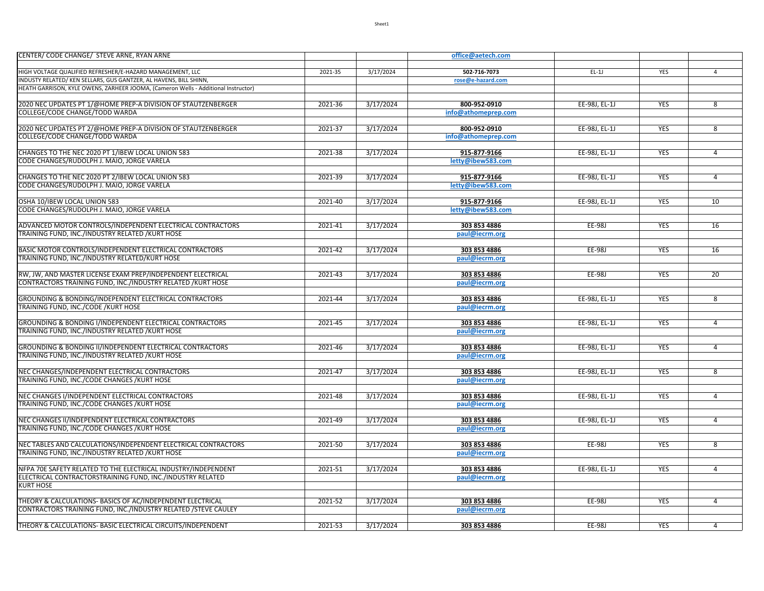| CENTER/ CODE CHANGE/ STEVE ARNE, RYAN ARNE                                         |         |           | office@aetech.com   |               |            |                |
|------------------------------------------------------------------------------------|---------|-----------|---------------------|---------------|------------|----------------|
|                                                                                    |         |           |                     |               |            |                |
| HIGH VOLTAGE QUALIFIED REFRESHER/E-HAZARD MANAGEMENT, LLC                          | 2021-35 | 3/17/2024 | 502-716-7073        | $EL-1J$       | YES        | $\overline{4}$ |
| INDUSTY RELATED/ KEN SELLARS, GUS GANTZER, AL HAVENS, BILL SHINN,                  |         |           | rose@e-hazard.com   |               |            |                |
| HEATH GARRISON, KYLE OWENS, ZARHEER JOOMA, (Cameron Wells - Additional Instructor) |         |           |                     |               |            |                |
|                                                                                    |         |           |                     |               |            |                |
| 2020 NEC UPDATES PT 1/@HOME PREP-A DIVISION OF STAUTZENBERGER                      | 2021-36 | 3/17/2024 | 800-952-0910        | EE-98J, EL-1J | <b>YES</b> | $\overline{8}$ |
| COLLEGE/CODE CHANGE/TODD WARDA                                                     |         |           | info@athomeprep.com |               |            |                |
|                                                                                    |         |           |                     |               |            |                |
| 2020 NEC UPDATES PT 2/@HOME PREP-A DIVISION OF STAUTZENBERGER                      | 2021-37 | 3/17/2024 | 800-952-0910        | EE-98J, EL-1J | <b>YES</b> | 8              |
| COLLEGE/CODE CHANGE/TODD WARDA                                                     |         |           | info@athomeprep.com |               |            |                |
|                                                                                    |         |           |                     |               |            |                |
| CHANGES TO THE NEC 2020 PT 1/IBEW LOCAL UNION 583                                  | 2021-38 | 3/17/2024 | 915-877-9166        | EE-98J, EL-1J | <b>YES</b> | $\overline{4}$ |
| CODE CHANGES/RUDOLPH J. MAIO, JORGE VARELA                                         |         |           | letty@ibew583.com   |               |            |                |
|                                                                                    |         |           |                     |               |            |                |
|                                                                                    |         |           |                     |               |            |                |
| CHANGES TO THE NEC 2020 PT 2/IBEW LOCAL UNION 583                                  | 2021-39 | 3/17/2024 | 915-877-9166        | EE-98J, EL-1J | <b>YES</b> | $\overline{4}$ |
| CODE CHANGES/RUDOLPH J. MAIO, JORGE VARELA                                         |         |           | letty@ibew583.com   |               |            |                |
|                                                                                    |         |           |                     |               |            |                |
| OSHA 10/IBEW LOCAL UNION 583                                                       | 2021-40 | 3/17/2024 | 915-877-9166        | EE-98J, EL-1J | YES        | 10             |
| CODE CHANGES/RUDOLPH J. MAIO, JORGE VARELA                                         |         |           | letty@ibew583.com   |               |            |                |
|                                                                                    |         |           |                     |               |            |                |
| ADVANCED MOTOR CONTROLS/INDEPENDENT ELECTRICAL CONTRACTORS                         | 2021-41 | 3/17/2024 | 303 853 4886        | <b>EE-98J</b> | <b>YES</b> | 16             |
| TRAINING FUND, INC./INDUSTRY RELATED / KURT HOSE                                   |         |           | paul@iecrm.org      |               |            |                |
|                                                                                    |         |           |                     |               |            |                |
| BASIC MOTOR CONTROLS/INDEPENDENT ELECTRICAL CONTRACTORS                            | 2021-42 | 3/17/2024 | 303 853 4886        | EE-98J        | <b>YES</b> | 16             |
| TRAINING FUND, INC./INDUSTRY RELATED/KURT HOSE                                     |         |           | paul@iecrm.org      |               |            |                |
|                                                                                    |         |           |                     |               |            |                |
| RW, JW, AND MASTER LICENSE EXAM PREP/INDEPENDENT ELECTRICAL                        | 2021-43 | 3/17/2024 | 303 853 4886        | EE-98J        | <b>YES</b> | 20             |
| CONTRACTORS TRAINING FUND, INC./INDUSTRY RELATED / KURT HOSE                       |         |           | paul@iecrm.org      |               |            |                |
|                                                                                    |         |           |                     |               |            |                |
| GROUNDING & BONDING/INDEPENDENT ELECTRICAL CONTRACTORS                             | 2021-44 | 3/17/2024 | 303 853 4886        | EE-98J, EL-1J | <b>YES</b> | 8              |
| TRAINING FUND, INC./CODE / KURT HOSE                                               |         |           | paul@iecrm.org      |               |            |                |
|                                                                                    |         |           |                     |               |            |                |
| GROUNDING & BONDING I/INDEPENDENT ELECTRICAL CONTRACTORS                           | 2021-45 | 3/17/2024 | 303 853 4886        | EE-98J, EL-1J | <b>YES</b> | $\overline{4}$ |
| TRAINING FUND, INC./INDUSTRY RELATED /KURT HOSE                                    |         |           | paul@iecrm.org      |               |            |                |
|                                                                                    |         |           |                     |               |            |                |
| GROUNDING & BONDING II/INDEPENDENT ELECTRICAL CONTRACTORS                          | 2021-46 | 3/17/2024 | 303 853 4886        | EE-98J, EL-1J | <b>YES</b> | $\overline{4}$ |
| TRAINING FUND, INC./INDUSTRY RELATED /KURT HOSE                                    |         |           | paul@iecrm.org      |               |            |                |
|                                                                                    |         |           |                     |               |            |                |
| NEC CHANGES/INDEPENDENT ELECTRICAL CONTRACTORS                                     | 2021-47 | 3/17/2024 |                     | EE-98J, EL-1J | <b>YES</b> | $\overline{8}$ |
|                                                                                    |         |           | 303 853 4886        |               |            |                |
| TRAINING FUND, INC./CODE CHANGES /KURT HOSE                                        |         |           | paul@iecrm.org      |               |            |                |
|                                                                                    |         |           |                     |               |            |                |
| NEC CHANGES I/INDEPENDENT ELECTRICAL CONTRACTORS                                   | 2021-48 | 3/17/2024 | 303 853 4886        | EE-98J, EL-1J | YES        | $\overline{4}$ |
| TRAINING FUND, INC./CODE CHANGES / KURT HOSE                                       |         |           | paul@iecrm.org      |               |            |                |
|                                                                                    |         |           |                     |               |            |                |
| NEC CHANGES II/INDEPENDENT ELECTRICAL CONTRACTORS                                  | 2021-49 | 3/17/2024 | 303 853 4886        | EE-98J, EL-1J | <b>YES</b> | $\overline{4}$ |
| TRAINING FUND, INC./CODE CHANGES /KURT HOSE                                        |         |           | paul@iecrm.org      |               |            |                |
|                                                                                    |         |           |                     |               |            |                |
| NEC TABLES AND CALCULATIONS/INDEPENDENT ELECTRICAL CONTRACTORS                     | 2021-50 | 3/17/2024 | 303 853 4886        | <b>EE-98J</b> | <b>YES</b> | $\overline{8}$ |
| TRAINING FUND, INC./INDUSTRY RELATED / KURT HOSE                                   |         |           | paul@iecrm.org      |               |            |                |
|                                                                                    |         |           |                     |               |            |                |
| NFPA 70E SAFETY RELATED TO THE ELECTRICAL INDUSTRY/INDEPENDENT                     | 2021-51 | 3/17/2024 | 303 853 4886        | EE-98J, EL-1J | <b>YES</b> | 4              |
| ELECTRICAL CONTRACTORSTRAINING FUND, INC./INDUSTRY RELATED                         |         |           | paul@iecrm.org      |               |            |                |
| KURT HOSE                                                                          |         |           |                     |               |            |                |
|                                                                                    |         |           |                     |               |            |                |
| THEORY & CALCULATIONS- BASICS OF AC/INDEPENDENT ELECTRICAL                         | 2021-52 | 3/17/2024 | 303 853 4886        | EE-98J        | <b>YES</b> | $\overline{4}$ |
| CONTRACTORS TRAINING FUND, INC./INDUSTRY RELATED /STEVE CAULEY                     |         |           | paul@iecrm.org      |               |            |                |
|                                                                                    |         |           |                     |               |            |                |
| THEORY & CALCULATIONS- BASIC ELECTRICAL CIRCUITS/INDEPENDENT                       | 2021-53 | 3/17/2024 | 303 853 4886        | EE-98J        | <b>YES</b> | $\overline{4}$ |
|                                                                                    |         |           |                     |               |            |                |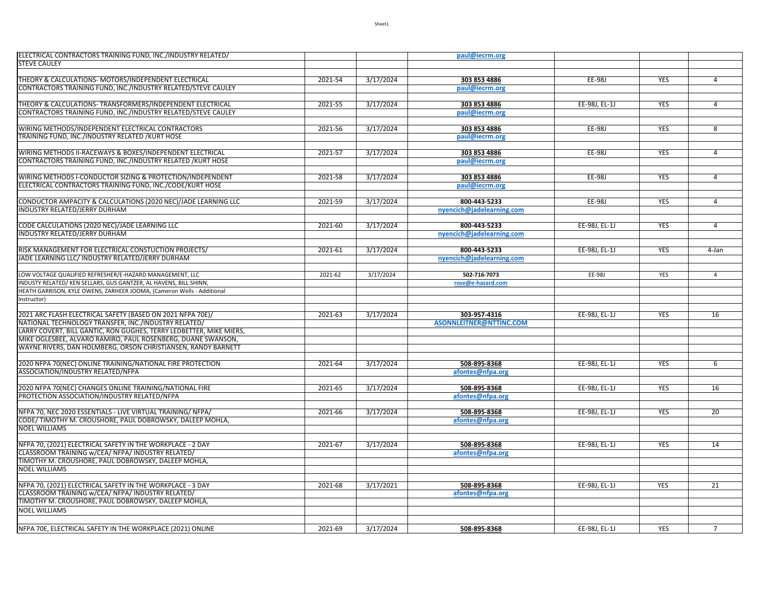| ELECTRICAL CONTRACTORS TRAINING FUND, INC./INDUSTRY RELATED/                                            |         |           | paul@iecrm.org            |               |            |                |
|---------------------------------------------------------------------------------------------------------|---------|-----------|---------------------------|---------------|------------|----------------|
| <b>STEVE CAULEY</b>                                                                                     |         |           |                           |               |            |                |
|                                                                                                         |         |           |                           |               |            |                |
| THEORY & CALCULATIONS- MOTORS/INDEPENDENT ELECTRICAL                                                    | 2021-54 | 3/17/2024 | 303 853 4886              | EE-98J        | <b>YES</b> | 4              |
| CONTRACTORS TRAINING FUND, INC./INDUSTRY RELATED/STEVE CAULEY                                           |         |           | paul@iecrm.org            |               |            |                |
|                                                                                                         |         |           |                           |               |            |                |
| THEORY & CALCULATIONS- TRANSFORMERS/INDEPENDENT ELECTRICAL                                              | 2021-55 | 3/17/2024 | 303 853 4886              | EE-98J, EL-1J | <b>YES</b> | $\overline{4}$ |
| CONTRACTORS TRAINING FUND, INC./INDUSTRY RELATED/STEVE CAULEY                                           |         |           | paul@iecrm.org            |               |            |                |
|                                                                                                         |         |           |                           |               |            |                |
| WIRING METHODS/INDEPENDENT ELECTRICAL CONTRACTORS                                                       | 2021-56 | 3/17/2024 | 303 853 4886              | EE-98J        | <b>YES</b> | 8              |
| TRAINING FUND, INC./INDUSTRY RELATED / KURT HOSE                                                        |         |           | paul@iecrm.org            |               |            |                |
|                                                                                                         |         |           |                           |               |            |                |
| WIRING METHODS II-RACEWAYS & BOXES/INDEPENDENT ELECTRICAL                                               | 2021-57 | 3/17/2024 | 303 853 4886              | EE-98J        | <b>YES</b> | $\overline{4}$ |
| CONTRACTORS TRAINING FUND, INC./INDUSTRY RELATED / KURT HOSE                                            |         |           | paul@iecrm.org            |               |            |                |
|                                                                                                         |         |           |                           |               |            |                |
| WIRING METHODS I-CONDUCTOR SIZING & PROTECTION/INDEPENDENT                                              | 2021-58 | 3/17/2024 | 303 853 4886              | EE-98J        | <b>YES</b> | $\overline{4}$ |
| ELECTRICAL CONTRACTORS TRAINING FUND, INC./CODE/KURT HOSE                                               |         |           | paul@iecrm.org            |               |            |                |
|                                                                                                         |         |           |                           |               |            |                |
| CONDUCTOR AMPACITY & CALCULATIONS (2020 NEC)/JADE LEARNING LLC                                          | 2021-59 | 3/17/2024 | 800-443-5233              | EE-98J        | <b>YES</b> | $\overline{4}$ |
| INDUSTRY RELATED/JERRY DURHAM                                                                           |         |           | nyencich@jadelearning.com |               |            |                |
|                                                                                                         |         |           |                           |               |            |                |
| CODE CALCULATIONS (2020 NEC)/JADE LEARNING LLC                                                          | 2021-60 | 3/17/2024 | 800-443-5233              | EE-98J, EL-1J | <b>YES</b> | $\overline{4}$ |
| INDUSTRY RELATED/JERRY DURHAM                                                                           |         |           | nyencich@jadelearning.com |               |            |                |
|                                                                                                         |         |           |                           |               |            |                |
| RISK MANAGEMENT FOR ELECTRICAL CONSTUCTION PROJECTS/                                                    | 2021-61 | 3/17/2024 | 800-443-5233              | EE-98J, EL-1J | <b>YES</b> | 4-Jan          |
| JADE LEARNING LLC/ INDUSTRY RELATED/JERRY DURHAM                                                        |         |           | nyencich@jadelearning.com |               |            |                |
|                                                                                                         |         |           |                           |               |            |                |
| LOW VOLTAGE QUALIFIED REFRESHER/E-HAZARD MANAGEMENT, LLC                                                | 2021-62 | 3/17/2024 | 502-716-7073              | EE-98J        | YES        | $\overline{4}$ |
| INDUSTY RELATED/ KEN SELLARS, GUS GANTZER, AL HAVENS, BILL SHINN,                                       |         |           | rose@e-hazard.com         |               |            |                |
| HEATH GARRISON, KYLE OWENS, ZARHEER JOOMA, (Cameron Wells - Additional                                  |         |           |                           |               |            |                |
| Instructor)                                                                                             |         |           |                           |               |            |                |
|                                                                                                         |         |           |                           |               |            |                |
| 2021 ARC FLASH ELECTRICAL SAFETY (BASED ON 2021 NFPA 70E)/                                              | 2021-63 | 3/17/2024 | 303-957-4316              | EE-98J. EL-1J | <b>YES</b> | 16             |
| NATIONAL TECHNOLOGY TRANSFER, INC./INDUSTRY RELATED/                                                    |         |           | ASONNLEITNER@NTTINC.COM   |               |            |                |
| LARRY COVERT, BILL GANTIC, RON GUGHES, TERRY LEDBETTER, MIKE MIERS,                                     |         |           |                           |               |            |                |
| MIKE OGLESBEE, ALVARO RAMIRO, PAUL ROSENBERG, DUANE SWANSON,                                            |         |           |                           |               |            |                |
| WAYNE RIVERS, DAN HOLMBERG, ORSON CHRISTIANSEN, RANDY BARNETT                                           |         |           |                           |               |            |                |
|                                                                                                         |         |           |                           |               |            |                |
| 2020 NFPA 70(NEC) ONLINE TRAINING/NATIONAL FIRE PROTECTION<br>ASSOCIATION/INDUSTRY RELATED/NFPA         | 2021-64 | 3/17/2024 | 508-895-8368              | EE-98J, EL-1J | YES        | 6              |
|                                                                                                         |         |           | afontes@nfpa.org          |               |            |                |
|                                                                                                         | 2021-65 | 3/17/2024 | 508-895-8368              | EE-98J, EL-1J | <b>YES</b> | 16             |
| 2020 NFPA 70(NEC) CHANGES ONLINE TRAINING/NATIONAL FIRE<br>PROTECTION ASSOCIATION/INDUSTRY RELATED/NFPA |         |           | afontes@nfpa.org          |               |            |                |
|                                                                                                         |         |           |                           |               |            |                |
| NFPA 70, NEC 2020 ESSENTIALS - LIVE VIRTUAL TRAINING/ NFPA/                                             | 2021-66 | 3/17/2024 | 508-895-8368              | EE-98J, EL-1J | YES        | 20             |
| CODE/TIMOTHY M. CROUSHORE, PAUL DOBROWSKY, DALEEP MOHLA,                                                |         |           | afontes@nfpa.org          |               |            |                |
| <b>NOEL WILLIAMS</b>                                                                                    |         |           |                           |               |            |                |
|                                                                                                         |         |           |                           |               |            |                |
| NFPA 70, (2021) ELECTRICAL SAFETY IN THE WORKPLACE - 2 DAY                                              | 2021-67 | 3/17/2024 | 508-895-8368              | EE-98J, EL-1J | <b>YES</b> | 14             |
| CLASSROOM TRAINING w/CEA/ NFPA/ INDUSTRY RELATED/                                                       |         |           | afontes@nfpa.org          |               |            |                |
| TIMOTHY M. CROUSHORE, PAUL DOBROWSKY, DALEEP MOHLA,                                                     |         |           |                           |               |            |                |
| <b>NOEL WILLIAMS</b>                                                                                    |         |           |                           |               |            |                |
|                                                                                                         |         |           |                           |               |            |                |
| NFPA 70, (2021) ELECTRICAL SAFETY IN THE WORKPLACE - 3 DAY                                              | 2021-68 | 3/17/2021 | 508-895-8368              | EE-98J, EL-1J | <b>YES</b> | 21             |
| CLASSROOM TRAINING w/CEA/ NFPA/ INDUSTRY RELATED/                                                       |         |           | afontes@nfpa.org          |               |            |                |
| TIMOTHY M. CROUSHORE, PAUL DOBROWSKY, DALEEP MOHLA,                                                     |         |           |                           |               |            |                |
| <b>NOEL WILLIAMS</b>                                                                                    |         |           |                           |               |            |                |
|                                                                                                         |         |           |                           |               |            |                |
|                                                                                                         |         |           |                           |               |            | $\overline{7}$ |
| NFPA 70E, ELECTRICAL SAFETY IN THE WORKPLACE (2021) ONLINE                                              | 2021-69 | 3/17/2024 | 508-895-8368              | EE-98J. EL-1J | <b>YES</b> |                |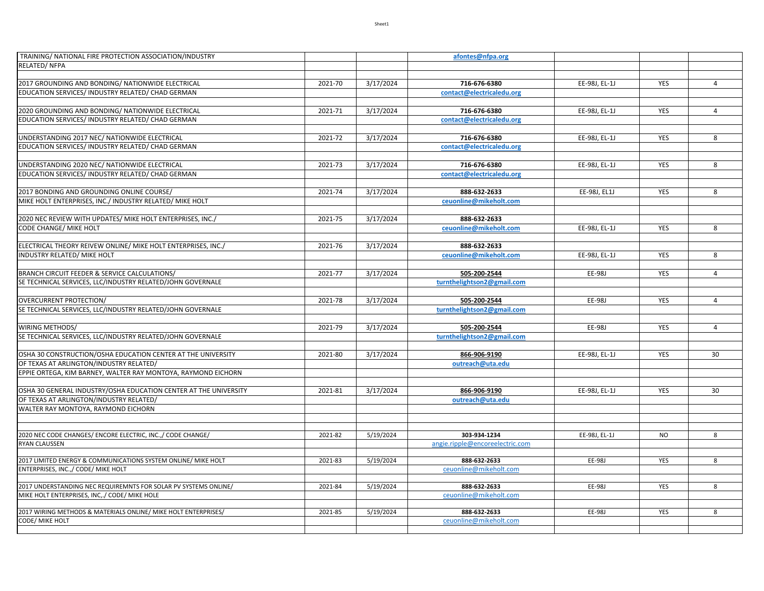| TRAINING/ NATIONAL FIRE PROTECTION ASSOCIATION/INDUSTRY          |         |           | afontes@nfpa.org                |               |            |                |
|------------------------------------------------------------------|---------|-----------|---------------------------------|---------------|------------|----------------|
| RELATED/ NFPA                                                    |         |           |                                 |               |            |                |
|                                                                  |         |           |                                 |               |            |                |
| 2017 GROUNDING AND BONDING/ NATIONWIDE ELECTRICAL                | 2021-70 | 3/17/2024 | 716-676-6380                    | EE-98J, EL-1J | <b>YES</b> | $\overline{4}$ |
| EDUCATION SERVICES/ INDUSTRY RELATED/ CHAD GERMAN                |         |           | contact@electricaledu.org       |               |            |                |
|                                                                  |         |           |                                 |               |            |                |
| 2020 GROUNDING AND BONDING/ NATIONWIDE ELECTRICAL                | 2021-71 | 3/17/2024 | 716-676-6380                    | EE-98J, EL-1J | YES        | $\overline{4}$ |
| EDUCATION SERVICES/ INDUSTRY RELATED/ CHAD GERMAN                |         |           | contact@electricaledu.org       |               |            |                |
|                                                                  |         |           |                                 |               |            |                |
| UNDERSTANDING 2017 NEC/ NATIONWIDE ELECTRICAL                    | 2021-72 | 3/17/2024 | 716-676-6380                    | EE-98J, EL-1J | YES        | 8              |
| EDUCATION SERVICES/ INDUSTRY RELATED/ CHAD GERMAN                |         |           | contact@electricaledu.org       |               |            |                |
| UNDERSTANDING 2020 NEC/ NATIONWIDE ELECTRICAL                    | 2021-73 | 3/17/2024 | 716-676-6380                    | EE-98J, EL-1J | YES        | 8              |
| EDUCATION SERVICES/ INDUSTRY RELATED/ CHAD GERMAN                |         |           | contact@electricaledu.org       |               |            |                |
|                                                                  |         |           |                                 |               |            |                |
| 2017 BONDING AND GROUNDING ONLINE COURSE/                        | 2021-74 | 3/17/2024 | 888-632-2633                    | EE-98J, EL1J  | YES        | 8              |
| MIKE HOLT ENTERPRISES, INC./ INDUSTRY RELATED/ MIKE HOLT         |         |           | ceuonline@mikeholt.com          |               |            |                |
|                                                                  |         |           |                                 |               |            |                |
| 2020 NEC REVIEW WITH UPDATES/ MIKE HOLT ENTERPRISES, INC./       | 2021-75 | 3/17/2024 | 888-632-2633                    |               |            |                |
| CODE CHANGE/ MIKE HOLT                                           |         |           | ceuonline@mikeholt.com          | EE-98J, EL-1J | YES        | 8              |
|                                                                  |         |           |                                 |               |            |                |
| ELECTRICAL THEORY REIVEW ONLINE/ MIKE HOLT ENTERPRISES, INC./    | 2021-76 | 3/17/2024 | 888-632-2633                    |               |            |                |
| INDUSTRY RELATED/ MIKE HOLT                                      |         |           | ceuonline@mikeholt.com          | EE-98J, EL-1J | YES        | 8              |
|                                                                  |         |           |                                 |               |            |                |
| BRANCH CIRCUIT FEEDER & SERVICE CALCULATIONS/                    | 2021-77 | 3/17/2024 | 505-200-2544                    | EE-98J        | YES        | 4              |
| SE TECHNICAL SERVICES, LLC/INDUSTRY RELATED/JOHN GOVERNALE       |         |           | turnthelightson2@gmail.com      |               |            |                |
|                                                                  |         |           |                                 |               |            |                |
| OVERCURRENT PROTECTION/                                          | 2021-78 | 3/17/2024 | 505-200-2544                    | EE-98J        | YES        | $\overline{4}$ |
| SE TECHNICAL SERVICES, LLC/INDUSTRY RELATED/JOHN GOVERNALE       |         |           | turnthelightson2@gmail.com      |               |            |                |
|                                                                  |         |           |                                 |               |            |                |
| WIRING METHODS/                                                  | 2021-79 | 3/17/2024 | 505-200-2544                    | EE-98J        | YES        | $\overline{4}$ |
| SE TECHNICAL SERVICES, LLC/INDUSTRY RELATED/JOHN GOVERNALE       |         |           | turnthelightson2@gmail.com      |               |            |                |
| OSHA 30 CONSTRUCTION/OSHA EDUCATION CENTER AT THE UNIVERSITY     | 2021-80 | 3/17/2024 | 866-906-9190                    | EE-98J, EL-1J | YES        | 30             |
| OF TEXAS AT ARLINGTON/INDUSTRY RELATED/                          |         |           | outreach@uta.edu                |               |            |                |
| EPPIE ORTEGA, KIM BARNEY, WALTER RAY MONTOYA, RAYMOND EICHORN    |         |           |                                 |               |            |                |
|                                                                  |         |           |                                 |               |            |                |
| OSHA 30 GENERAL INDUSTRY/OSHA EDUCATION CENTER AT THE UNIVERSITY | 2021-81 | 3/17/2024 | 866-906-9190                    | EE-98J, EL-1J | YES        | 30             |
| OF TEXAS AT ARLINGTON/INDUSTRY RELATED/                          |         |           | outreach@uta.edu                |               |            |                |
| WALTER RAY MONTOYA, RAYMOND EICHORN                              |         |           |                                 |               |            |                |
|                                                                  |         |           |                                 |               |            |                |
|                                                                  |         |           |                                 |               |            |                |
| 2020 NEC CODE CHANGES/ ENCORE ELECTRIC, INC.,/ CODE CHANGE/      | 2021-82 | 5/19/2024 | 303-934-1234                    | EE-98J, EL-1J | <b>NO</b>  | 8              |
| <b>RYAN CLAUSSEN</b>                                             |         |           | angie.ripple@encoreelectric.com |               |            |                |
|                                                                  |         |           |                                 |               |            |                |
| 2017 LIMITED ENERGY & COMMUNICATIONS SYSTEM ONLINE/ MIKE HOLT    | 2021-83 | 5/19/2024 | 888-632-2633                    | EE-98J        | YES        | 8              |
| ENTERPRISES, INC.,/ CODE/ MIKE HOLT                              |         |           | ceuonline@mikeholt.com          |               |            |                |
| 2017 UNDERSTANDING NEC REQUIREMNTS FOR SOLAR PV SYSTEMS ONLINE/  | 2021-84 | 5/19/2024 | 888-632-2633                    | EE-98J        | YES        | 8              |
| MIKE HOLT ENTERPRISES, INC,./ CODE/ MIKE HOLE                    |         |           | ceuonline@mikeholt.com          |               |            |                |
|                                                                  |         |           |                                 |               |            |                |
| 2017 WIRING METHODS & MATERIALS ONLINE/ MIKE HOLT ENTERPRISES/   | 2021-85 | 5/19/2024 | 888-632-2633                    | EE-98J        | YES        | 8              |
| CODE/ MIKE HOLT                                                  |         |           | ceuonline@mikeholt.com          |               |            |                |
|                                                                  |         |           |                                 |               |            |                |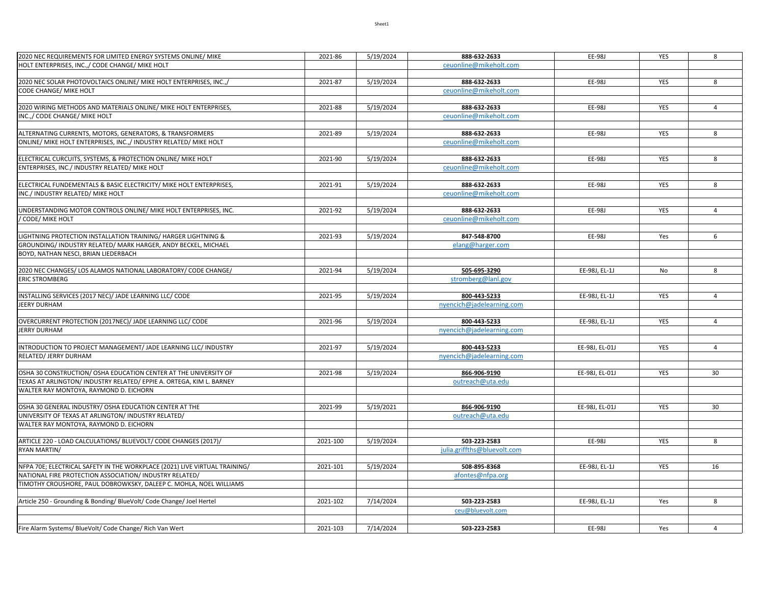| 2020 NEC REQUIREMENTS FOR LIMITED ENERGY SYSTEMS ONLINE/ MIKE              | 2021-86  | 5/19/2024 | 888-632-2633                | EE-98J         | YES        | 8              |
|----------------------------------------------------------------------------|----------|-----------|-----------------------------|----------------|------------|----------------|
| HOLT ENTERPRISES, INC.,/ CODE CHANGE/ MIKE HOLT                            |          |           | ceuonline@mikeholt.com      |                |            |                |
|                                                                            |          |           |                             |                |            |                |
|                                                                            |          |           |                             |                |            |                |
| 2020 NEC SOLAR PHOTOVOLTAICS ONLINE/ MIKE HOLT ENTERPRISES, INC.,/         | 2021-87  | 5/19/2024 | 888-632-2633                | EE-98J         | YES        | 8              |
| CODE CHANGE/ MIKE HOLT                                                     |          |           | ceuonline@mikeholt.com      |                |            |                |
|                                                                            |          |           |                             |                |            |                |
| 2020 WIRING METHODS AND MATERIALS ONLINE/ MIKE HOLT ENTERPRISES,           | 2021-88  | 5/19/2024 | 888-632-2633                | EE-98J         | YES        | $\overline{4}$ |
| INC.,/ CODE CHANGE/ MIKE HOLT                                              |          |           | ceuonline@mikeholt.com      |                |            |                |
|                                                                            |          |           |                             |                |            |                |
| ALTERNATING CURRENTS, MOTORS, GENERATORS, & TRANSFORMERS                   | 2021-89  | 5/19/2024 | 888-632-2633                | EE-98J         | YES        | 8              |
| ONLINE/ MIKE HOLT ENTERPRISES, INC.,/ INDUSTRY RELATED/ MIKE HOLT          |          |           | ceuonline@mikeholt.com      |                |            |                |
|                                                                            |          |           |                             |                |            |                |
| ELECTRICAL CURCUITS, SYSTEMS, & PROTECTION ONLINE/ MIKE HOLT               | 2021-90  | 5/19/2024 | 888-632-2633                | EE-98J         | YES        | 8              |
| ENTERPRISES, INC./ INDUSTRY RELATED/ MIKE HOLT                             |          |           | ceuonline@mikeholt.com      |                |            |                |
|                                                                            |          |           |                             |                |            |                |
| ELECTRICAL FUNDEMENTALS & BASIC ELECTRICITY/ MIKE HOLT ENTERPRISES,        | 2021-91  | 5/19/2024 | 888-632-2633                | EE-98J         | YES        | 8              |
| INC./ INDUSTRY RELATED/ MIKE HOLT                                          |          |           | ceuonline@mikeholt.com      |                |            |                |
|                                                                            |          |           |                             |                |            |                |
| UNDERSTANDING MOTOR CONTROLS ONLINE/ MIKE HOLT ENTERPRISES, INC.           | 2021-92  | 5/19/2024 | 888-632-2633                | EE-98J         | YES        | $\overline{4}$ |
| CODE/ MIKE HOLT                                                            |          |           | ceuonline@mikeholt.com      |                |            |                |
|                                                                            |          |           |                             |                |            |                |
| LIGHTNING PROTECTION INSTALLATION TRAINING/ HARGER LIGHTNING &             | 2021-93  | 5/19/2024 | 847-548-8700                | EE-98J         | Yes        | 6              |
| GROUNDING/ INDUSTRY RELATED/ MARK HARGER, ANDY BECKEL, MICHAEL             |          |           | elang@harger.com            |                |            |                |
|                                                                            |          |           |                             |                |            |                |
| BOYD, NATHAN NESCI, BRIAN LIEDERBACH                                       |          |           |                             |                |            |                |
|                                                                            |          |           |                             |                |            |                |
| 2020 NEC CHANGES/ LOS ALAMOS NATIONAL LABORATORY/ CODE CHANGE/             | 2021-94  | 5/19/2024 | 505-695-3290                | EE-98J, EL-1J  | No         | 8              |
| <b>ERIC STROMBERG</b>                                                      |          |           | stromberg@lanl.gov          |                |            |                |
|                                                                            |          |           |                             |                |            |                |
| INSTALLING SERVICES (2017 NEC)/ JADE LEARNING LLC/ CODE                    | 2021-95  | 5/19/2024 | 800-443-5233                | EE-98J, EL-1J  | YES        | $\overline{4}$ |
| JEERY DURHAM                                                               |          |           | nyencich@jadelearning.com   |                |            |                |
|                                                                            |          |           |                             |                |            |                |
| OVERCURRENT PROTECTION (2017NEC)/ JADE LEARNING LLC/ CODE                  | 2021-96  | 5/19/2024 | 800-443-5233                | EE-98J, EL-1J  | YES        | 4              |
| <b>JERRY DURHAM</b>                                                        |          |           | nyencich@jadelearning.com   |                |            |                |
|                                                                            |          |           |                             |                |            |                |
| INTRODUCTION TO PROJECT MANAGEMENT/ JADE LEARNING LLC/ INDUSTRY            | 2021-97  | 5/19/2024 | 800-443-5233                | EE-98J, EL-01J | YES        | $\overline{4}$ |
| RELATED/ JERRY DURHAM                                                      |          |           | nyencich@jadelearning.com   |                |            |                |
|                                                                            |          |           |                             |                |            |                |
| OSHA 30 CONSTRUCTION/ OSHA EDUCATION CENTER AT THE UNIVERSITY OF           | 2021-98  | 5/19/2024 | 866-906-9190                | EE-98J, EL-01J | <b>YES</b> | 30             |
| TEXAS AT ARLINGTON/ INDUSTRY RELATED/ EPPIE A. ORTEGA, KIM L. BARNEY       |          |           | outreach@uta.edu            |                |            |                |
| WALTER RAY MONTOYA, RAYMOND D. EICHORN                                     |          |           |                             |                |            |                |
|                                                                            |          |           |                             |                |            |                |
| OSHA 30 GENERAL INDUSTRY/ OSHA EDUCATION CENTER AT THE                     | 2021-99  | 5/19/2021 | 866-906-9190                | EE-98J, EL-01J | YES        | 30             |
| UNIVERSITY OF TEXAS AT ARLINGTON/ INDUSTRY RELATED/                        |          |           | outreach@uta.edu            |                |            |                |
| WALTER RAY MONTOYA, RAYMOND D. EICHORN                                     |          |           |                             |                |            |                |
|                                                                            |          |           |                             |                |            |                |
| ARTICLE 220 - LOAD CALCULATIONS/ BLUEVOLT/ CODE CHANGES (2017)/            | 2021-100 | 5/19/2024 | 503-223-2583                | EE-98J         | YES        | 8              |
| RYAN MARTIN/                                                               |          |           | julia.griffths@bluevolt.com |                |            |                |
|                                                                            |          |           |                             |                |            |                |
| NFPA 70E; ELECTRICAL SAFETY IN THE WORKPLACE (2021) LIVE VIRTUAL TRAINING/ | 2021-101 | 5/19/2024 | 508-895-8368                | EE-98J, EL-1J  | YES        | 16             |
| NATIONAL FIRE PROTECTION ASSOCIATION/ INDUSTRY RELATED/                    |          |           | afontes@nfpa.org            |                |            |                |
| TIMOTHY CROUSHORE, PAUL DOBROWKSKY, DALEEP C. MOHLA, NOEL WILLIAMS         |          |           |                             |                |            |                |
|                                                                            |          |           |                             |                |            |                |
| Article 250 - Grounding & Bonding/ BlueVolt/ Code Change/ Joel Hertel      | 2021-102 | 7/14/2024 | 503-223-2583                | EE-98J, EL-1J  | Yes        | 8              |
|                                                                            |          |           |                             |                |            |                |
|                                                                            |          |           | ceu@bluevolt.com            |                |            |                |
|                                                                            |          |           |                             |                |            |                |
| Fire Alarm Systems/ BlueVolt/ Code Change/ Rich Van Wert                   | 2021-103 | 7/14/2024 | 503-223-2583                | EE-98J         | Yes        | $\overline{4}$ |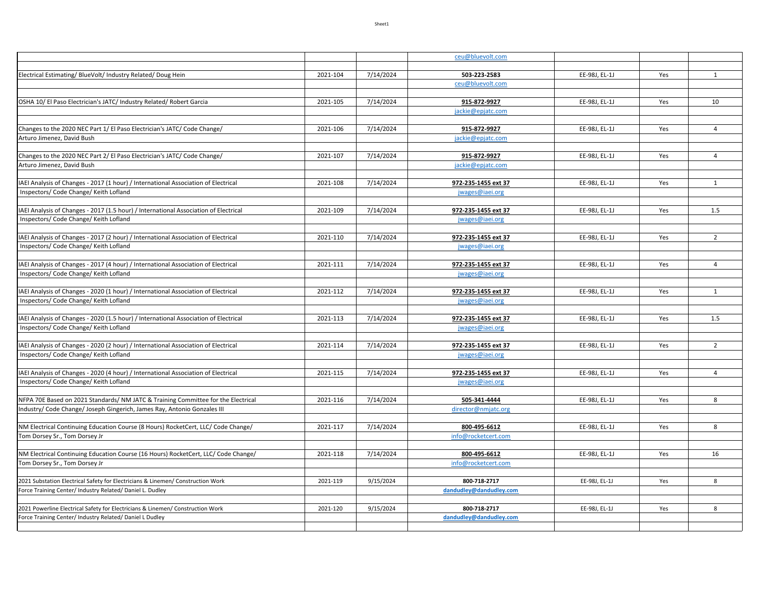|                                                                                                                                            |          |           | ceu@bluevolt.com                        |               |     |                |
|--------------------------------------------------------------------------------------------------------------------------------------------|----------|-----------|-----------------------------------------|---------------|-----|----------------|
|                                                                                                                                            |          |           |                                         |               |     |                |
| Electrical Estimating/ BlueVolt/ Industry Related/ Doug Hein                                                                               | 2021-104 | 7/14/2024 | 503-223-2583                            | EE-98J, EL-1J | Yes | $\mathbf{1}$   |
|                                                                                                                                            |          |           | ceu@bluevolt.com                        |               |     |                |
|                                                                                                                                            |          |           |                                         |               |     |                |
| OSHA 10/ El Paso Electrician's JATC/ Industry Related/ Robert Garcia                                                                       | 2021-105 | 7/14/2024 | 915-872-9927                            | EE-98J, EL-1J | Yes | 10             |
|                                                                                                                                            |          |           | jackie@epjatc.com                       |               |     |                |
|                                                                                                                                            |          |           |                                         |               |     |                |
| Changes to the 2020 NEC Part 1/ El Paso Electrician's JATC/ Code Change/<br>Arturo Jimenez, David Bush                                     | 2021-106 | 7/14/2024 | 915-872-9927<br>jackie@epjatc.com       | EE-98J, EL-1J | Yes | $\overline{4}$ |
|                                                                                                                                            |          |           |                                         |               |     |                |
| Changes to the 2020 NEC Part 2/ El Paso Electrician's JATC/ Code Change/                                                                   | 2021-107 | 7/14/2024 | 915-872-9927                            | EE-98J, EL-1J | Yes | $\overline{4}$ |
| Arturo Jimenez, David Bush                                                                                                                 |          |           | jackie@epjatc.com                       |               |     |                |
|                                                                                                                                            |          |           |                                         |               |     |                |
| IAEI Analysis of Changes - 2017 (1 hour) / International Association of Electrical                                                         | 2021-108 | 7/14/2024 | 972-235-1455 ext 37                     | EE-98J, EL-1J | Yes | 1              |
| Inspectors/ Code Change/ Keith Lofland                                                                                                     |          |           | jwages@iaei.org                         |               |     |                |
|                                                                                                                                            |          |           |                                         |               |     |                |
| IAEI Analysis of Changes - 2017 (1.5 hour) / International Association of Electrical                                                       | 2021-109 | 7/14/2024 | 972-235-1455 ext 37                     | EE-98J, EL-1J | Yes | 1.5            |
| Inspectors/ Code Change/ Keith Lofland                                                                                                     |          |           | jwages@iaei.org                         |               |     |                |
|                                                                                                                                            |          |           |                                         |               |     |                |
| IAEI Analysis of Changes - 2017 (2 hour) / International Association of Electrical                                                         | 2021-110 | 7/14/2024 | 972-235-1455 ext 37                     | EE-98J, EL-1J | Yes | $\overline{2}$ |
| Inspectors/ Code Change/ Keith Lofland                                                                                                     |          |           | jwages@iaei.org                         |               |     |                |
|                                                                                                                                            | 2021-111 |           |                                         |               |     | $\overline{4}$ |
| IAEI Analysis of Changes - 2017 (4 hour) / International Association of Electrical<br>Inspectors/ Code Change/ Keith Lofland               |          | 7/14/2024 | 972-235-1455 ext 37                     | EE-98J, EL-1J | Yes |                |
|                                                                                                                                            |          |           | jwages@iaei.org                         |               |     |                |
| IAEI Analysis of Changes - 2020 (1 hour) / International Association of Electrical                                                         | 2021-112 | 7/14/2024 | 972-235-1455 ext 37                     | EE-98J, EL-1J | Yes | $\mathbf{1}$   |
| Inspectors/ Code Change/ Keith Lofland                                                                                                     |          |           | jwages@iaei.org                         |               |     |                |
|                                                                                                                                            |          |           |                                         |               |     |                |
| IAEI Analysis of Changes - 2020 (1.5 hour) / International Association of Electrical                                                       | 2021-113 | 7/14/2024 | 972-235-1455 ext 37                     | EE-98J, EL-1J | Yes | 1.5            |
| Inspectors/ Code Change/ Keith Lofland                                                                                                     |          |           | jwages@iaei.org                         |               |     |                |
|                                                                                                                                            |          |           |                                         |               |     |                |
| IAEI Analysis of Changes - 2020 (2 hour) / International Association of Electrical                                                         | 2021-114 | 7/14/2024 | 972-235-1455 ext 37                     | EE-98J, EL-1J | Yes | $\overline{2}$ |
| Inspectors/ Code Change/ Keith Lofland                                                                                                     |          |           | jwages@iaei.org                         |               |     |                |
|                                                                                                                                            |          |           |                                         |               |     |                |
| IAEI Analysis of Changes - 2020 (4 hour) / International Association of Electrical                                                         | 2021-115 | 7/14/2024 | 972-235-1455 ext 37                     | EE-98J, EL-1J | Yes | $\overline{4}$ |
| Inspectors/ Code Change/ Keith Lofland                                                                                                     |          |           | jwages@iaei.org                         |               |     |                |
| NFPA 70E Based on 2021 Standards/ NM JATC & Training Committee for the Electrical                                                          | 2021-116 | 7/14/2024 | 505-341-4444                            | EE-98J, EL-1J | Yes | 8              |
| Industry/ Code Change/ Joseph Gingerich, James Ray, Antonio Gonzales III                                                                   |          |           | director@nmjatc.org                     |               |     |                |
|                                                                                                                                            |          |           |                                         |               |     |                |
| NM Electrical Continuing Education Course (8 Hours) RocketCert, LLC/ Code Change/                                                          | 2021-117 | 7/14/2024 | 800-495-6612                            | EE-98J, EL-1J | Yes | 8              |
| Tom Dorsey Sr., Tom Dorsey Jr                                                                                                              |          |           | info@rocketcert.com                     |               |     |                |
|                                                                                                                                            |          |           |                                         |               |     |                |
| NM Electrical Continuing Education Course (16 Hours) RocketCert, LLC/ Code Change/                                                         | 2021-118 | 7/14/2024 | 800-495-6612                            | EE-98J, EL-1J | Yes | 16             |
| Tom Dorsey Sr., Tom Dorsey Jr                                                                                                              |          |           | info@rocketcert.com                     |               |     |                |
|                                                                                                                                            |          |           |                                         |               |     |                |
| 2021 Substation Electrical Safety for Electricians & Linemen/ Construction Work                                                            | 2021-119 | 9/15/2024 | 800-718-2717                            | EE-98J, EL-1J | Yes | 8              |
| Force Training Center/ Industry Related/ Daniel L. Dudley                                                                                  |          |           | dandudley@dandudley.com                 |               |     |                |
|                                                                                                                                            |          |           |                                         |               |     |                |
| 2021 Powerline Electrical Safety for Electricians & Linemen/ Construction Work<br>Force Training Center/ Industry Related/ Daniel L Dudley | 2021-120 | 9/15/2024 | 800-718-2717<br>dandudley@dandudley.com | EE-98J, EL-1J | Yes | 8              |
|                                                                                                                                            |          |           |                                         |               |     |                |
|                                                                                                                                            |          |           |                                         |               |     |                |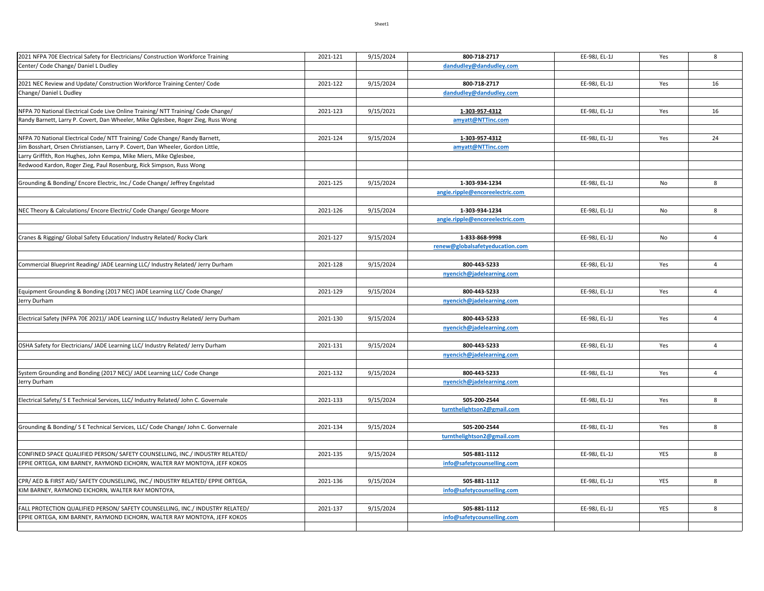| 2021 NFPA 70E Electrical Safety for Electricians/ Construction Workforce Training    | 2021-121 | 9/15/2024 | 800-718-2717                    | EE-98J, EL-1J | Yes | 8              |
|--------------------------------------------------------------------------------------|----------|-----------|---------------------------------|---------------|-----|----------------|
| Center/ Code Change/ Daniel L Dudley                                                 |          |           | dandudley@dandudley.com         |               |     |                |
|                                                                                      |          |           |                                 |               |     |                |
| 2021 NEC Review and Update/ Construction Workforce Training Center/ Code             | 2021-122 | 9/15/2024 | 800-718-2717                    | EE-98J, EL-1J | Yes | 16             |
| Change/ Daniel L Dudley                                                              |          |           | dandudley@dandudley.com         |               |     |                |
|                                                                                      |          |           |                                 |               |     |                |
| NFPA 70 National Electrical Code Live Online Training/ NTT Training/ Code Change/    | 2021-123 | 9/15/2021 | 1-303-957-4312                  | EE-98J, EL-1J | Yes | 16             |
| Randy Barnett, Larry P. Covert, Dan Wheeler, Mike Oglesbee, Roger Zieg, Russ Wong    |          |           | amyatt@NTTinc.com               |               |     |                |
|                                                                                      |          |           |                                 |               |     |                |
| NFPA 70 National Electrical Code/ NTT Training/ Code Change/ Randy Barnett,          | 2021-124 | 9/15/2024 | 1-303-957-4312                  | EE-98J, EL-1J | Yes | 24             |
| im Bosshart, Orsen Christiansen, Larry P. Covert, Dan Wheeler, Gordon Little,        |          |           | amyatt@NTTinc.com               |               |     |                |
| Larry Griffith, Ron Hughes, John Kempa, Mike Miers, Mike Oglesbee,                   |          |           |                                 |               |     |                |
| Redwood Kardon, Roger Zieg, Paul Rosenburg, Rick Simpson, Russ Wong                  |          |           |                                 |               |     |                |
|                                                                                      |          |           |                                 |               |     |                |
| Grounding & Bonding/ Encore Electric, Inc./ Code Change/ Jeffrey Engelstad           | 2021-125 | 9/15/2024 | 1-303-934-1234                  | EE-98J, EL-1J | No  | 8              |
|                                                                                      |          |           | angie.ripple@encoreelectric.com |               |     |                |
|                                                                                      |          |           |                                 |               |     |                |
| NEC Theory & Calculations/ Encore Electric/ Code Change/ George Moore                | 2021-126 | 9/15/2024 | 1-303-934-1234                  | EE-98J, EL-1J | No  | 8              |
|                                                                                      |          |           | angie.ripple@encoreelectric.com |               |     |                |
|                                                                                      |          |           |                                 |               |     |                |
| Cranes & Rigging/ Global Safety Education/ Industry Related/ Rocky Clark             | 2021-127 | 9/15/2024 | 1-833-868-9998                  | EE-98J, EL-1J | No  | $\overline{4}$ |
|                                                                                      |          |           | renew@globalsafetyeducation.com |               |     |                |
|                                                                                      |          |           |                                 |               |     |                |
| Commercial Blueprint Reading/JADE Learning LLC/Industry Related/Jerry Durham         | 2021-128 | 9/15/2024 | 800-443-5233                    | EE-98J, EL-1J | Yes | $\overline{4}$ |
|                                                                                      |          |           | nyencich@jadelearning.com       |               |     |                |
|                                                                                      |          |           |                                 |               |     |                |
| Equipment Grounding & Bonding (2017 NEC) JADE Learning LLC/ Code Change/             | 2021-129 | 9/15/2024 | 800-443-5233                    | EE-98J, EL-1J | Yes | $\overline{4}$ |
| lerry Durham                                                                         |          |           | nyencich@jadelearning.com       |               |     |                |
|                                                                                      |          |           |                                 |               |     |                |
| Electrical Safety (NFPA 70E 2021)/ JADE Learning LLC/ Industry Related/ Jerry Durham | 2021-130 | 9/15/2024 | 800-443-5233                    | EE-98J, EL-1J | Yes | $\overline{4}$ |
|                                                                                      |          |           | nyencich@jadelearning.com       |               |     |                |
|                                                                                      |          |           |                                 |               |     |                |
| OSHA Safety for Electricians/ JADE Learning LLC/ Industry Related/ Jerry Durham      | 2021-131 | 9/15/2024 | 800-443-5233                    | EE-98J, EL-1J | Yes | $\overline{4}$ |
|                                                                                      |          |           | nyencich@jadelearning.com       |               |     |                |
|                                                                                      |          |           |                                 |               |     |                |
| System Grounding and Bonding (2017 NEC)/ JADE Learning LLC/ Code Change              | 2021-132 | 9/15/2024 | 800-443-5233                    | EE-98J, EL-1J | Yes | $\overline{4}$ |
| Jerry Durham                                                                         |          |           | nyencich@jadelearning.com       |               |     |                |
|                                                                                      |          |           |                                 |               |     |                |
| Electrical Safety/ S E Technical Services, LLC/ Industry Related/ John C. Governale  | 2021-133 | 9/15/2024 | 505-200-2544                    | EE-98J, EL-1J | Yes | 8              |
|                                                                                      |          |           | turnthelightson2@gmail.com      |               |     |                |
|                                                                                      |          |           |                                 |               |     |                |
| Grounding & Bonding/SE Technical Services, LLC/Code Change/John C. Gonvernale        | 2021-134 | 9/15/2024 | 505-200-2544                    | EE-98J, EL-1J | Yes | 8              |
|                                                                                      |          |           | turnthelightson2@gmail.com      |               |     |                |
|                                                                                      |          |           |                                 |               |     |                |
| CONFINED SPACE QUALIFIED PERSON/ SAFETY COUNSELLING, INC./ INDUSTRY RELATED/         | 2021-135 | 9/15/2024 | 505-881-1112                    | EE-98J, EL-1J | YES | 8              |
| EPPIE ORTEGA, KIM BARNEY, RAYMOND EICHORN, WALTER RAY MONTOYA, JEFF KOKOS            |          |           | info@safetycounselling.com      |               |     |                |
|                                                                                      |          |           |                                 |               |     |                |
| CPR/ AED & FIRST AID/ SAFETY COUNSELLING, INC./ INDUSTRY RELATED/ EPPIE ORTEGA,      | 2021-136 | 9/15/2024 | 505-881-1112                    | EE-98J, EL-1J | YES | 8              |
| KIM BARNEY, RAYMOND EICHORN, WALTER RAY MONTOYA,                                     |          |           | info@safetycounselling.com      |               |     |                |
|                                                                                      |          |           |                                 |               |     |                |
| FALL PROTECTION QUALIFIED PERSON/ SAFETY COUNSELLING, INC./ INDUSTRY RELATED/        | 2021-137 | 9/15/2024 | 505-881-1112                    | EE-98J, EL-1J | YES | 8              |
| EPPIE ORTEGA, KIM BARNEY, RAYMOND EICHORN, WALTER RAY MONTOYA, JEFF KOKOS            |          |           | info@safetycounselling.com      |               |     |                |
|                                                                                      |          |           |                                 |               |     |                |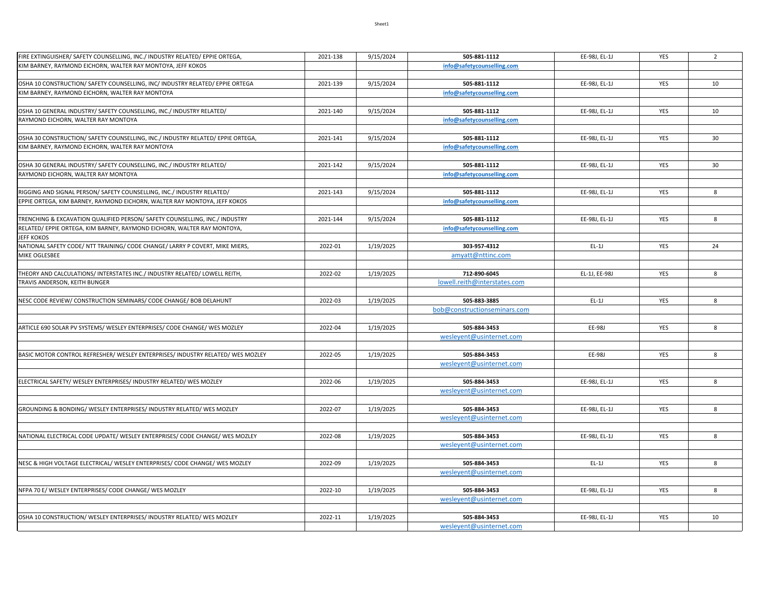| FIRE EXTINGUISHER/ SAFETY COUNSELLING, INC./ INDUSTRY RELATED/ EPPIE ORTEGA,    | 2021-138 | 9/15/2024 | 505-881-1112                                 | EE-98J, EL-1J | YES        | $\overline{2}$ |
|---------------------------------------------------------------------------------|----------|-----------|----------------------------------------------|---------------|------------|----------------|
| KIM BARNEY, RAYMOND EICHORN, WALTER RAY MONTOYA, JEFF KOKOS                     |          |           | info@safetycounselling.com                   |               |            |                |
|                                                                                 |          |           |                                              |               |            |                |
| OSHA 10 CONSTRUCTION/ SAFETY COUNSELLING, INC/ INDUSTRY RELATED/ EPPIE ORTEGA   | 2021-139 | 9/15/2024 | 505-881-1112                                 | EE-98J, EL-1J | YES        | 10             |
| KIM BARNEY, RAYMOND EICHORN, WALTER RAY MONTOYA                                 |          |           | info@safetycounselling.com                   |               |            |                |
|                                                                                 |          |           |                                              |               |            |                |
| OSHA 10 GENERAL INDUSTRY/ SAFETY COUNSELLING, INC./ INDUSTRY RELATED/           | 2021-140 | 9/15/2024 | 505-881-1112                                 | EE-98J, EL-1J | YES        | 10             |
| RAYMOND EICHORN, WALTER RAY MONTOYA                                             |          |           | info@safetycounselling.com                   |               |            |                |
|                                                                                 |          |           |                                              |               |            |                |
| OSHA 30 CONSTRUCTION/ SAFETY COUNSELLING, INC./ INDUSTRY RELATED/ EPPIE ORTEGA, | 2021-141 | 9/15/2024 | 505-881-1112                                 | EE-98J, EL-1J | YES        | 30             |
| KIM BARNEY, RAYMOND EICHORN, WALTER RAY MONTOYA                                 |          |           | info@safetycounselling.com                   |               |            |                |
|                                                                                 |          |           |                                              |               |            |                |
| OSHA 30 GENERAL INDUSTRY/ SAFETY COUNSELLING, INC./ INDUSTRY RELATED/           | 2021-142 | 9/15/2024 | 505-881-1112                                 | EE-98J, EL-1J | YES        | 30             |
| RAYMOND EICHORN, WALTER RAY MONTOYA                                             |          |           | info@safetycounselling.com                   |               |            |                |
|                                                                                 |          |           |                                              |               |            |                |
| RIGGING AND SIGNAL PERSON/ SAFETY COUNSELLING, INC./ INDUSTRY RELATED/          | 2021-143 | 9/15/2024 | 505-881-1112                                 | EE-98J, EL-1J | YES        | 8              |
| EPPIE ORTEGA, KIM BARNEY, RAYMOND EICHORN, WALTER RAY MONTOYA, JEFF KOKOS       |          |           | info@safetycounselling.com                   |               |            |                |
|                                                                                 |          |           |                                              |               |            |                |
| TRENCHING & EXCAVATION QUALIFIED PERSON/ SAFETY COUNSELLING, INC./ INDUSTRY     | 2021-144 | 9/15/2024 | 505-881-1112                                 | EE-98J, EL-1J | YES        | 8              |
| RELATED/ EPPIE ORTEGA, KIM BARNEY, RAYMOND EICHORN, WALTER RAY MONTOYA,         |          |           | info@safetycounselling.com                   |               |            |                |
| <b>JEFF KOKOS</b>                                                               |          |           |                                              |               |            |                |
| NATIONAL SAFETY CODE/ NTT TRAINING/ CODE CHANGE/ LARRY P COVERT, MIKE MIERS,    | 2022-01  | 1/19/2025 | 303-957-4312                                 | $EL-1J$       | YES        | 24             |
| MIKE OGLESBEE                                                                   |          |           | amyatt@nttinc.com                            |               |            |                |
|                                                                                 |          |           |                                              |               |            |                |
| THEORY AND CALCULATIONS/ INTERSTATES INC./ INDUSTRY RELATED/ LOWELL REITH,      | 2022-02  | 1/19/2025 | 712-890-6045                                 | EL-1J, EE-98J | YES        | 8              |
| TRAVIS ANDERSON, KEITH BUNGER                                                   |          |           |                                              |               |            |                |
|                                                                                 |          |           | lowell.reith@interstates.com                 |               |            |                |
|                                                                                 |          |           |                                              | $EL-1J$       |            | 8              |
| NESC CODE REVIEW/ CONSTRUCTION SEMINARS/ CODE CHANGE/ BOB DELAHUNT              | 2022-03  | 1/19/2025 | 505-883-3885<br>bob@constructionseminars.com |               | YES        |                |
|                                                                                 |          |           |                                              |               |            |                |
| ARTICLE 690 SOLAR PV SYSTEMS/ WESLEY ENTERPRISES/ CODE CHANGE/ WES MOZLEY       | 2022-04  | 1/19/2025 | 505-884-3453                                 | EE-98J        | YES        | 8              |
|                                                                                 |          |           | wesleyent@usinternet.com                     |               |            |                |
|                                                                                 |          |           |                                              |               |            |                |
| BASIC MOTOR CONTROL REFRESHER/ WESLEY ENTERPRISES/ INDUSTRY RELATED/ WES MOZLEY | 2022-05  | 1/19/2025 | 505-884-3453                                 | EE-98J        | YES        | 8              |
|                                                                                 |          |           |                                              |               |            |                |
|                                                                                 |          |           | weslevent@usinternet.com                     |               |            |                |
| ELECTRICAL SAFETY/ WESLEY ENTERPRISES/ INDUSTRY RELATED/ WES MOZLEY             | 2022-06  | 1/19/2025 | 505-884-3453                                 | EE-98J, EL-1J | YES        | 8              |
|                                                                                 |          |           | wesleyent@usinternet.com                     |               |            |                |
|                                                                                 |          |           |                                              |               |            |                |
| GROUNDING & BONDING/ WESLEY ENTERPRISES/ INDUSTRY RELATED/ WES MOZLEY           | 2022-07  | 1/19/2025 | 505-884-3453                                 | EE-98J, EL-1J | YES        | 8              |
|                                                                                 |          |           | wesleyent@usinternet.com                     |               |            |                |
|                                                                                 |          |           |                                              |               |            |                |
| NATIONAL ELECTRICAL CODE UPDATE/ WESLEY ENTERPRISES/ CODE CHANGE/ WES MOZLEY    | 2022-08  | 1/19/2025 | 505-884-3453                                 | EE-98J, EL-1J | YES        | 8              |
|                                                                                 |          |           |                                              |               |            |                |
|                                                                                 |          |           | wesleyent@usinternet.com                     |               |            |                |
|                                                                                 |          |           |                                              |               |            |                |
| NESC & HIGH VOLTAGE ELECTRICAL/ WESLEY ENTERPRISES/ CODE CHANGE/ WES MOZLEY     | 2022-09  | 1/19/2025 | 505-884-3453                                 | $EL-1J$       | YES        | 8              |
|                                                                                 |          |           | wesleyent@usinternet.com                     |               |            |                |
|                                                                                 |          |           |                                              |               |            |                |
| NFPA 70 E/ WESLEY ENTERPRISES/ CODE CHANGE/ WES MOZLEY                          | 2022-10  | 1/19/2025 | 505-884-3453                                 | EE-98J, EL-1J | YES        | 8              |
|                                                                                 |          |           | wesleyent@usinternet.com                     |               |            |                |
|                                                                                 |          |           |                                              |               |            |                |
| OSHA 10 CONSTRUCTION/ WESLEY ENTERPRISES/ INDUSTRY RELATED/ WES MOZLEY          | 2022-11  | 1/19/2025 | 505-884-3453                                 | EE-98J, EL-1J | <b>YES</b> | 10             |
|                                                                                 |          |           | wesleyent@usinternet.com                     |               |            |                |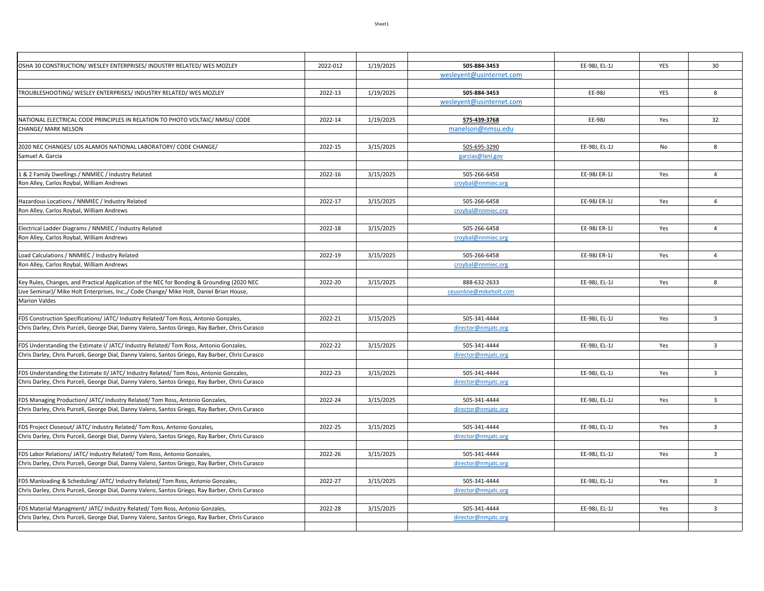| OSHA 30 CONSTRUCTION/ WESLEY ENTERPRISES/ INDUSTRY RELATED/ WES MOZLEY                                                                                                          | 2022-012 | 1/19/2025 | 505-884-3453                        | EE-98J, EL-1J | YES | 30             |
|---------------------------------------------------------------------------------------------------------------------------------------------------------------------------------|----------|-----------|-------------------------------------|---------------|-----|----------------|
|                                                                                                                                                                                 |          |           | wesleyent@usinternet.com            |               |     |                |
|                                                                                                                                                                                 |          |           |                                     |               |     |                |
| TROUBLESHOOTING/WESLEY ENTERPRISES/INDUSTRY RELATED/WES MOZLEY                                                                                                                  | 2022-13  | 1/19/2025 | 505-884-3453                        | EE-98J        | YES | 8              |
|                                                                                                                                                                                 |          |           | weslevent@usinternet.com            |               |     |                |
| NATIONAL ELECTRICAL CODE PRINCIPLES IN RELATION TO PHOTO VOLTAIC/ NMSU/ CODE                                                                                                    | 2022-14  | 1/19/2025 | 575-439-3768                        | EE-98J        | Yes | 32             |
| CHANGE/ MARK NELSON                                                                                                                                                             |          |           | manelson@nmsu.edu                   |               |     |                |
|                                                                                                                                                                                 |          |           |                                     |               |     |                |
| 2020 NEC CHANGES/ LOS ALAMOS NATIONAL LABORATORY/ CODE CHANGE/                                                                                                                  | 2022-15  | 3/15/2025 | 505-695-3290                        | EE-98J. EL-1J | No  | 8              |
| Samuel A. Garcia                                                                                                                                                                |          |           | garcias@lanl.gov                    |               |     |                |
|                                                                                                                                                                                 |          |           |                                     |               |     |                |
| & 2 Family Dwellings / NNMIEC / Industry Related                                                                                                                                | 2022-16  | 3/15/2025 | 505-266-6458                        | EE-98J ER-1J  | Yes | $\overline{4}$ |
| Ron Alley, Carlos Roybal, William Andrews                                                                                                                                       |          |           | croybal@nnmiec.org                  |               |     |                |
| Hazardous Locations / NNMIEC / Industry Related                                                                                                                                 | 2022-17  | 3/15/2025 | 505-266-6458                        | EE-98J ER-1J  | Yes | $\overline{4}$ |
| Ron Alley, Carlos Roybal, William Andrews                                                                                                                                       |          |           | croybal@nnmiec.org                  |               |     |                |
|                                                                                                                                                                                 |          |           |                                     |               |     |                |
| Electrical Ladder Diagrams / NNMIEC / Industry Related                                                                                                                          | 2022-18  | 3/15/2025 | 505-266-6458                        | EE-98J ER-1J  | Yes | $\overline{4}$ |
| Ron Alley, Carlos Roybal, William Andrews                                                                                                                                       |          |           | croybal@nnmiec.org                  |               |     |                |
|                                                                                                                                                                                 |          |           |                                     |               |     |                |
| Load Calculations / NNMIEC / Industry Related                                                                                                                                   | 2022-19  | 3/15/2025 | 505-266-6458                        | EE-98J ER-1J  | Yes | $\overline{4}$ |
| Ron Alley, Carlos Roybal, William Andrews                                                                                                                                       |          |           | croybal@nnmiec.org                  |               |     |                |
|                                                                                                                                                                                 |          |           |                                     |               |     |                |
| Key Rules, Changes, and Practical Application of the NEC for Bonding & Grounding (2020 NEC                                                                                      | 2022-20  | 3/15/2025 | 888-632-2633                        | EE-98J. EL-1J | Yes | 8              |
| Live Seminar)/ Mike Holt Enterprises, Inc.,/ Code Change/ Mike Holt, Daniel Brian House,                                                                                        |          |           | ceuonline@mikeholt.com              |               |     |                |
| <b>Marion Valdes</b>                                                                                                                                                            |          |           |                                     |               |     |                |
| FDS Construction Specifications/ JATC/ Industry Related/ Tom Ross, Antonio Gonzales,                                                                                            | 2022-21  | 3/15/2025 | 505-341-4444                        | EE-98J, EL-1J | Yes | $\overline{3}$ |
| Chris Darley, Chris Purceli, George Dial, Danny Valero, Santos Griego, Ray Barber, Chris Curasco                                                                                |          |           | director@nmjatc.org                 |               |     |                |
|                                                                                                                                                                                 |          |           |                                     |               |     |                |
| FDS Understanding the Estimate I/ JATC/ Industry Related/ Tom Ross, Antonio Gonzales,                                                                                           | 2022-22  | 3/15/2025 | 505-341-4444                        | EE-98J, EL-1J | Yes | $\overline{3}$ |
| Chris Darley, Chris Purceli, George Dial, Danny Valero, Santos Griego, Ray Barber, Chris Curasco                                                                                |          |           | director@nmjatc.org                 |               |     |                |
|                                                                                                                                                                                 |          |           |                                     |               |     |                |
| FDS Understanding the Estimate II/ JATC/ Industry Related/ Tom Ross, Antonio Gonzales,                                                                                          | 2022-23  | 3/15/2025 | 505-341-4444                        | EE-98J, EL-1J | Yes | $\overline{3}$ |
| Chris Darley, Chris Purceli, George Dial, Danny Valero, Santos Griego, Ray Barber, Chris Curasco                                                                                |          |           | director@nmjatc.org                 |               |     |                |
| FDS Managing Production/ JATC/ Industry Related/ Tom Ross, Antonio Gonzales,                                                                                                    | 2022-24  | 3/15/2025 | 505-341-4444                        | EE-98J, EL-1J | Yes | $\overline{3}$ |
| Chris Darley, Chris Purceli, George Dial, Danny Valero, Santos Griego, Ray Barber, Chris Curasco                                                                                |          |           | director@nmjatc.org                 |               |     |                |
|                                                                                                                                                                                 |          |           |                                     |               |     |                |
| FDS Project Closeout/ JATC/ Industry Related/ Tom Ross, Antonio Gonzales,                                                                                                       | 2022-25  | 3/15/2025 | 505-341-4444                        | EE-98J, EL-1J | Yes | $\overline{3}$ |
| Chris Darley, Chris Purceli, George Dial, Danny Valero, Santos Griego, Ray Barber, Chris Curasco                                                                                |          |           | director@nmjatc.org                 |               |     |                |
|                                                                                                                                                                                 |          |           |                                     |               |     |                |
| FDS Labor Relations/ JATC/ Industry Related/ Tom Ross, Antonio Gonzales,                                                                                                        | 2022-26  | 3/15/2025 | 505-341-4444                        | EE-98J, EL-1J | Yes | $\overline{3}$ |
| Chris Darley, Chris Purceli, George Dial, Danny Valero, Santos Griego, Ray Barber, Chris Curasco                                                                                |          |           | director@nmjatc.org                 |               |     |                |
|                                                                                                                                                                                 |          |           |                                     |               |     |                |
| FDS Manloading & Scheduling/ JATC/ Industry Related/ Tom Ross, Antonio Gonzales,                                                                                                | 2022-27  | 3/15/2025 | 505-341-4444                        | EE-98J, EL-1J | Yes | $\overline{3}$ |
| Chris Darley, Chris Purceli, George Dial, Danny Valero, Santos Griego, Ray Barber, Chris Curasco                                                                                |          |           | director@nmjatc.org                 |               |     |                |
|                                                                                                                                                                                 | 2022-28  |           |                                     | EE-98J, EL-1J |     | 3              |
| FDS Material Managment/ JATC/ Industry Related/ Tom Ross, Antonio Gonzales,<br>Chris Darley, Chris Purceli, George Dial, Danny Valero, Santos Griego, Ray Barber, Chris Curasco |          | 3/15/2025 | 505-341-4444<br>director@nmjatc.org |               | Yes |                |
|                                                                                                                                                                                 |          |           |                                     |               |     |                |
|                                                                                                                                                                                 |          |           |                                     |               |     |                |